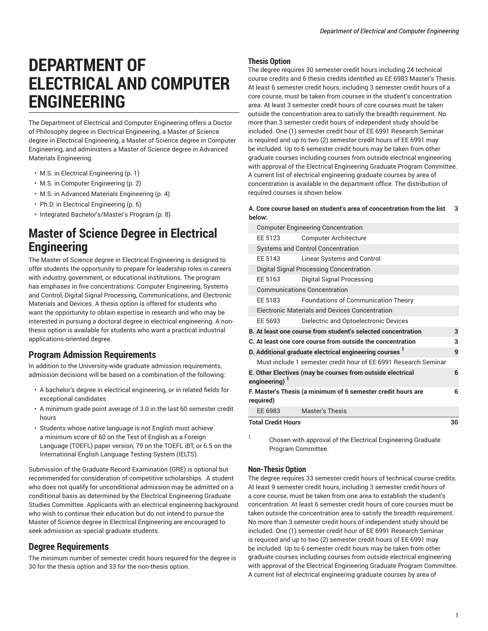# **DEPARTMENT OF ELECTRICAL AND COMPUTER ENGINEERING**

The Department of Electrical and Computer Engineering offers a Doctor of Philosophy degree in Electrical Engineering, a Master of Science degree in Electrical Engineering, a Master of Science degree in Computer Engineering, and administers a Master of Science degree in Advanced Materials Engineering.

- [M.S. in Electrical Engineering \(p. 1](#page-0-0))
- [M.S. in Computer Engineering \(p. 2\)](#page-1-0)
- M.S. in Advanced Materials [Engineering \(p. 4](#page-3-0))
- Ph.D. in Electrical [Engineering](#page-5-0) ([p. 6\)](#page-5-0)
- <span id="page-0-0"></span>• Integrated [Bachelor's/Master's](#page-7-0) Program [\(p. 8](#page-7-0))

## **Master of Science Degree in Electrical Engineering**

The Master of Science degree in Electrical Engineering is designed to offer students the opportunity to prepare for leadership roles in careers with industry, government, or educational institutions. The program has emphases in five concentrations: Computer Engineering, Systems and Control, Digital Signal Processing, Communications, and Electronic Materials and Devices. A thesis option is offered for students who want the opportunity to obtain expertise in research and who may be interested in pursuing a doctoral degree in electrical engineering. A nonthesis option is available for students who want a practical industrial applications-oriented degree.

### **Program Admission Requirements**

In addition to the University-wide graduate admission requirements, admission decisions will be based on a combination of the following:

- A bachelor's degree in electrical engineering, or in related fields for exceptional candidates
- A minimum grade point average of 3.0 in the last 60 semester credit hours
- Students whose native language is not English must achieve a minimum score of 60 on the Test of English as a Foreign Language (TOEFL) paper version, 79 on the TOEFL iBT, or 6.5 on the International English Language Testing System (IELTS).

Submission of the Graduate Record Examination (GRE) is optional but recommended for consideration of competitive scholarships. A student who does not qualify for unconditional admission may be admitted on a conditional basis as determined by the Electrical Engineering Graduate Studies Committee. Applicants with an electrical engineering background who wish to continue their education but do not intend to pursue the Master of Science degree in Electrical Engineering are encouraged to seek admission as special graduate students.

### **Degree Requirements**

The minimum number of semester credit hours required for the degree is 30 for the thesis option and 33 for the non-thesis option.

### **Thesis Option**

The degree requires 30 semester credit hours including 24 technical course credits and 6 thesis credits identified as EE 6983 Master's Thesis. At least 6 semester credit hours, including 3 semester credit hours of a core course, must be taken from courses in the student's concentration area. At least 3 semester credit hours of core courses must be taken outside the concentration area to satisfy the breadth requirement. No more than 3 semester credit hours of independent study should be included. One (1) semester credit hour of EE 6991 Research Seminar is required and up to two (2) semester credit hours of EE 6991 may be included. Up to 6 semester credit hours may be taken from other graduate courses including courses from outside electrical engineering with approval of the Electrical Engineering Graduate Program Committee. A current list of electrical engineering graduate courses by area of concentration is available in the department office. The distribution of required courses is shown below.

#### **A. Core course based on student's area of concentration from the list below: 3**

| <b>Computer Engineering Concentration</b> |                                                                    |    |  |
|-------------------------------------------|--------------------------------------------------------------------|----|--|
| EE 5123                                   | <b>Computer Architecture</b>                                       |    |  |
|                                           | <b>Systems and Control Concentration</b>                           |    |  |
| EE 5143                                   | Linear Systems and Control                                         |    |  |
|                                           | Digital Signal Processing Concentration                            |    |  |
| EE 5163                                   | Digital Signal Processing                                          |    |  |
|                                           | <b>Communications Concentration</b>                                |    |  |
| EE 5183                                   | <b>Foundations of Communication Theory</b>                         |    |  |
|                                           | <b>Electronic Materials and Devices Concentration</b>              |    |  |
| EE 5693                                   | Dielectric and Optoelectronic Devices                              |    |  |
|                                           | B. At least one course from student's selected concentration       | 3  |  |
|                                           | C. At least one core course from outside the concentration         | 3  |  |
|                                           | D. Additional graduate electrical engineering courses <sup>1</sup> | 9  |  |
|                                           | Must include 1 semester credit hour of EE 6991 Research Seminar    |    |  |
| engineering)                              | E. Other Electives (may be courses from outside electrical         | 6  |  |
| required)                                 | F. Master's Thesis (a minimum of 6 semester credit hours are       | 6  |  |
| EE 6983                                   | <b>Master's Thesis</b>                                             |    |  |
| <b>Total Credit Hours</b>                 |                                                                    | 30 |  |

1 Chosen with approval of the Electrical Engineering Graduate Program Committee.

### **Non-Thesis Option**

The degree requires 33 semester credit hours of technical course credits. At least 9 semester credit hours, including 3 semester credit hours of a core course, must be taken from one area to establish the student's concentration. At least 6 semester credit hours of core courses must be taken outside the concentration area to satisfy the breadth requirement. No more than 3 semester credit hours of independent study should be included. One (1) semester credit hour of EE 6991 Research Seminar is required and up to two (2) semester credit hours of EE 6991 may be included. Up to 6 semester credit hours may be taken from other graduate courses including courses from outside electrical engineering with approval of the Electrical Engineering Graduate Program Committee. A current list of electrical engineering graduate courses by area of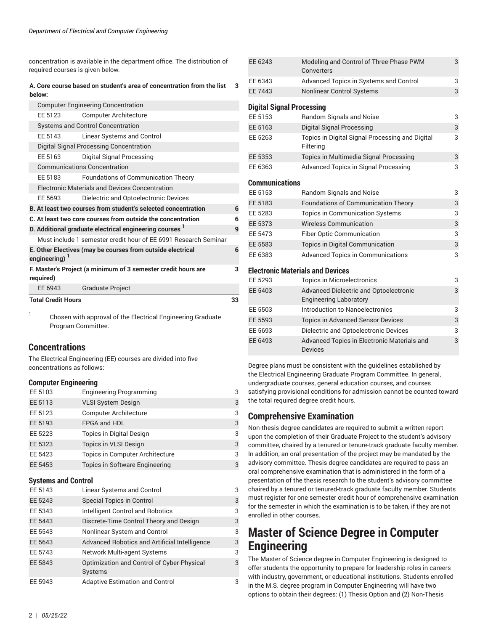concentration is available in the department office. The distribution of required courses is given below.

### **A. Core course based on student's area of concentration from the list 3 below:**

|                           | <b>Computer Engineering Concentration</b>                          |    |
|---------------------------|--------------------------------------------------------------------|----|
|                           |                                                                    |    |
| EE 5123                   | Computer Architecture                                              |    |
|                           | <b>Systems and Control Concentration</b>                           |    |
| EE 5143                   | Linear Systems and Control                                         |    |
|                           | Digital Signal Processing Concentration                            |    |
| EE 5163                   | Digital Signal Processing                                          |    |
|                           | <b>Communications Concentration</b>                                |    |
| EE 5183                   | <b>Foundations of Communication Theory</b>                         |    |
|                           | <b>Electronic Materials and Devices Concentration</b>              |    |
| EE 5693                   | Dielectric and Optoelectronic Devices                              |    |
|                           | B. At least two courses from student's selected concentration      | 6  |
|                           | C. At least two core courses from outside the concentration        | 6  |
|                           | D. Additional graduate electrical engineering courses <sup>1</sup> | 9  |
|                           | Must include 1 semester credit hour of EE 6991 Research Seminar    |    |
| engineering) <sup>1</sup> | E. Other Electives (may be courses from outside electrical         | 6  |
| required)                 | F. Master's Project (a minimum of 3 semester credit hours are      | 3  |
| EE 6943                   | <b>Graduate Project</b>                                            |    |
| <b>Total Credit Hours</b> |                                                                    | 33 |

1 Chosen with approval of the Electrical Engineering Graduate Program Committee.

### **Concentrations**

The Electrical Engineering (EE) courses are divided into five concentrations as follows:

### <span id="page-1-0"></span>**Computer Engineering**

| EE 5103 | <b>Engineering Programming</b>  | 3 |
|---------|---------------------------------|---|
| EE 5113 | <b>VLSI System Design</b>       | 3 |
| EE 5123 | <b>Computer Architecture</b>    | 3 |
| EE 5193 | FPGA and HDL                    | 3 |
| EE 5223 | <b>Topics in Digital Design</b> | 3 |
| EE 5323 | <b>Topics in VLSI Design</b>    | 3 |
| EE 5423 | Topics in Computer Architecture | 3 |
| EE 5453 | Topics in Software Engineering  | 3 |

### **Systems and Control**

| $5,0.00110$ and $0.01110$ |                                                              |   |  |
|---------------------------|--------------------------------------------------------------|---|--|
| EE 5143                   | Linear Systems and Control                                   | 3 |  |
| EE 5243                   | <b>Special Topics in Control</b>                             | 3 |  |
| EE 5343                   | <b>Intelligent Control and Robotics</b>                      | 3 |  |
| EE 5443                   | Discrete-Time Control Theory and Design                      | 3 |  |
| EE 5543                   | Nonlinear System and Control                                 | 3 |  |
| EE 5643                   | Advanced Robotics and Artificial Intelligence                | 3 |  |
| EE 5743                   | Network Multi-agent Systems                                  | 3 |  |
| EE 5843                   | Optimization and Control of Cyber-Physical<br><b>Systems</b> | 3 |  |
| EE 5943                   | <b>Adaptive Estimation and Control</b>                       | 3 |  |

| EE 6243               | Modeling and Control of Three-Phase PWM<br>Converters                          | 3 |
|-----------------------|--------------------------------------------------------------------------------|---|
| EE 6343               | Advanced Topics in Systems and Control                                         | 3 |
| FF 7443               | <b>Nonlinear Control Systems</b>                                               | 3 |
|                       | <b>Digital Signal Processing</b>                                               |   |
| EE 5153               | Random Signals and Noise                                                       | 3 |
| EE 5163               | Digital Signal Processing                                                      | 3 |
| EE 5263               | Topics in Digital Signal Processing and Digital<br>Filtering                   | 3 |
| EE 5353               | Topics in Multimedia Signal Processing                                         | 3 |
| EE 6363               | Advanced Topics in Signal Processing                                           | 3 |
| <b>Communications</b> |                                                                                |   |
| FF 5153               | Random Signals and Noise                                                       | 3 |
| EE 5183               | <b>Foundations of Communication Theory</b>                                     | 3 |
| EE 5283               | <b>Topics in Communication Systems</b>                                         | 3 |
| EE 5373               | <b>Wireless Communication</b>                                                  | 3 |
| EE 5473               | Fiber Optic Communication                                                      | 3 |
| EE 5583               | <b>Topics in Digital Communication</b>                                         | 3 |
| EE 6383               | <b>Advanced Topics in Communications</b>                                       | 3 |
|                       | <b>Electronic Materials and Devices</b>                                        |   |
| EE 5293               | <b>Topics in Microelectronics</b>                                              | 3 |
| EE 5403               | <b>Advanced Dielectric and Optoelectronic</b><br><b>Engineering Laboratory</b> | 3 |
| EE 5503               | Introduction to Nanoelectronics                                                | 3 |
| EE 5593               | <b>Topics in Advanced Sensor Devices</b>                                       | 3 |
| EE 5693               | Dielectric and Optoelectronic Devices                                          | 3 |
| EE 6493               | Advanced Topics in Electronic Materials and<br><b>Devices</b>                  | 3 |

Degree plans must be consistent with the guidelines established by the Electrical Engineering Graduate Program Committee. In general, undergraduate courses, general education courses, and courses satisfying provisional conditions for admission cannot be counted toward the total required degree credit hours.

## **Comprehensive Examination**

Non-thesis degree candidates are required to submit a written report upon the completion of their Graduate Project to the student's advisory committee, chaired by a tenured or tenure-track graduate faculty member. In addition, an oral presentation of the project may be mandated by the advisory committee. Thesis degree candidates are required to pass an oral comprehensive examination that is administered in the form of a presentation of the thesis research to the student's advisory committee chaired by a tenured or tenured-track graduate faculty member. Students must register for one semester credit hour of comprehensive examination for the semester in which the examination is to be taken, if they are not enrolled in other courses.

## **Master of Science Degree in Computer Engineering**

The Master of Science degree in Computer Engineering is designed to offer students the opportunity to prepare for leadership roles in careers with industry, government, or educational institutions. Students enrolled in the M.S. degree program in Computer Engineering will have two options to obtain their degrees: (1) Thesis Option and (2) Non-Thesis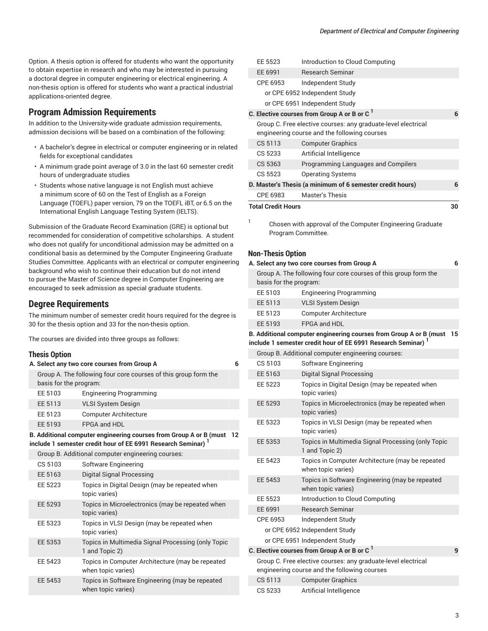Option. A thesis option is offered for students who want the opportunity to obtain expertise in research and who may be interested in pursuing a doctoral degree in computer engineering or electrical engineering. A non-thesis option is offered for students who want a practical industrial applications-oriented degree.

### **Program Admission Requirements**

In addition to the University-wide graduate admission requirements, admission decisions will be based on a combination of the following:

- A bachelor's degree in electrical or computer engineering or in related fields for exceptional candidates
- A minimum grade point average of 3.0 in the last 60 semester credit hours of undergraduate studies
- Students whose native language is not English must achieve a minimum score of 60 on the Test of English as a Foreign Language (TOEFL) paper version, 79 on the TOEFL iBT, or 6.5 on the International English Language Testing System (IELTS).

Submission of the Graduate Record Examination (GRE) is optional but recommended for consideration of competitive scholarships. A student who does not qualify for unconditional admission may be admitted on a conditional basis as determined by the Computer Engineering Graduate Studies Committee. Applicants with an electrical or computer engineering background who wish to continue their education but do not intend to pursue the Master of Science degree in Computer Engineering are encouraged to seek admission as special graduate students.

### **Degree Requirements**

The minimum number of semester credit hours required for the degree is 30 for the thesis option and 33 for the non-thesis option.

The courses are divided into three groups as follows:

### **Thesis Ontion**

| ווטוועט טוטטווו        |                                                                                                                                                |    |
|------------------------|------------------------------------------------------------------------------------------------------------------------------------------------|----|
|                        | A. Select any two core courses from Group A                                                                                                    | 6  |
| basis for the program: | Group A. The following four core courses of this group form the                                                                                |    |
| EE 5103                | <b>Engineering Programming</b>                                                                                                                 |    |
| EE 5113                | <b>VLSI System Design</b>                                                                                                                      |    |
| EE 5123                | <b>Computer Architecture</b>                                                                                                                   |    |
| EE 5193                | FPGA and HDL                                                                                                                                   |    |
|                        | B. Additional computer engineering courses from Group A or B (must<br>include 1 semester credit hour of EE 6991 Research Seminar) <sup>1</sup> | 12 |
|                        | Group B. Additional computer engineering courses:                                                                                              |    |
| CS 5103                | Software Engineering                                                                                                                           |    |
| EE 5163                | <b>Digital Signal Processing</b>                                                                                                               |    |
| EE 5223                | Topics in Digital Design (may be repeated when<br>topic varies)                                                                                |    |
| EE 5293                | Topics in Microelectronics (may be repeated when<br>topic varies)                                                                              |    |
| EE 5323                | Topics in VLSI Design (may be repeated when<br>topic varies)                                                                                   |    |
| EE 5353                | Topics in Multimedia Signal Processing (only Topic<br>1 and Topic 2)                                                                           |    |
| EE 5423                | Topics in Computer Architecture (may be repeated<br>when topic varies)                                                                         |    |
| EE 5453                | Topics in Software Engineering (may be repeated<br>when topic varies)                                                                          |    |
|                        |                                                                                                                                                |    |

|                                                                                      | <b>EE 5523</b>            | Introduction to Cloud Computing                                                                               |    |
|--------------------------------------------------------------------------------------|---------------------------|---------------------------------------------------------------------------------------------------------------|----|
|                                                                                      | EE 6991                   | <b>Research Seminar</b>                                                                                       |    |
|                                                                                      | CPE 6953                  | Independent Study                                                                                             |    |
|                                                                                      |                           | or CPE 6952 Independent Study                                                                                 |    |
|                                                                                      |                           | or CPE 6951 Independent Study                                                                                 |    |
|                                                                                      |                           | C. Elective courses from Group A or B or C                                                                    | 6  |
|                                                                                      |                           | Group C. Free elective courses: any graduate-level electrical<br>engineering course and the following courses |    |
|                                                                                      | CS 5113                   | <b>Computer Graphics</b>                                                                                      |    |
|                                                                                      | CS 5233                   | Artificial Intelligence                                                                                       |    |
|                                                                                      | CS 5363                   | Programming Languages and Compilers                                                                           |    |
|                                                                                      | CS 5523                   | <b>Operating Systems</b>                                                                                      |    |
|                                                                                      |                           | D. Master's Thesis (a minimum of 6 semester credit hours)                                                     | 6  |
|                                                                                      | CPE 6983                  | <b>Master's Thesis</b>                                                                                        |    |
|                                                                                      | <b>Total Credit Hours</b> |                                                                                                               | 30 |
| 1<br>Chosen with approval of the Computer Engineering Graduate<br>Program Committee. |                           |                                                                                                               |    |
|                                                                                      | <b>Non-Thesis Option</b>  |                                                                                                               |    |
|                                                                                      |                           | A. Select any two core courses from Group A                                                                   | 6  |
|                                                                                      |                           | Group A. The following four core courses of this group form the                                               |    |

| basis for the program: |                                |
|------------------------|--------------------------------|
| EE 5103                | <b>Engineering Programming</b> |
| EE 5113                | <b>VLSI System Design</b>      |

| EE 5123 | <b>Computer Architecture</b> |
|---------|------------------------------|
| EE 5193 | FPGA and HDL                 |

**B. Additional computer engineering courses from Group A or B (must 15 include 1 semester credit hour of EE 6991 Research Seminar) <sup>1</sup>**

|          | Group B. Additional computer engineering courses:                                                             |   |
|----------|---------------------------------------------------------------------------------------------------------------|---|
| CS 5103  | Software Engineering                                                                                          |   |
| EE 5163  | Digital Signal Processing                                                                                     |   |
| EE 5223  | Topics in Digital Design (may be repeated when<br>topic varies)                                               |   |
| EE 5293  | Topics in Microelectronics (may be repeated when<br>topic varies)                                             |   |
| EE 5323  | Topics in VLSI Design (may be repeated when<br>topic varies)                                                  |   |
| EE 5353  | Topics in Multimedia Signal Processing (only Topic<br>1 and Topic 2)                                          |   |
| EE 5423  | Topics in Computer Architecture (may be repeated<br>when topic varies)                                        |   |
| EE 5453  | Topics in Software Engineering (may be repeated<br>when topic varies)                                         |   |
| EE 5523  | Introduction to Cloud Computing                                                                               |   |
| EE 6991  | <b>Research Seminar</b>                                                                                       |   |
| CPE 6953 | Independent Study                                                                                             |   |
|          | or CPE 6952 Independent Study                                                                                 |   |
|          | or CPE 6951 Independent Study                                                                                 |   |
|          | C. Elective courses from Group A or B or C $^{\mathrm{1}}$                                                    | 9 |
|          | Group C. Free elective courses: any graduate-level electrical<br>engineering course and the following courses |   |
| CS 5113  | <b>Computer Graphics</b>                                                                                      |   |
| CS 5233  | Artificial Intelligence                                                                                       |   |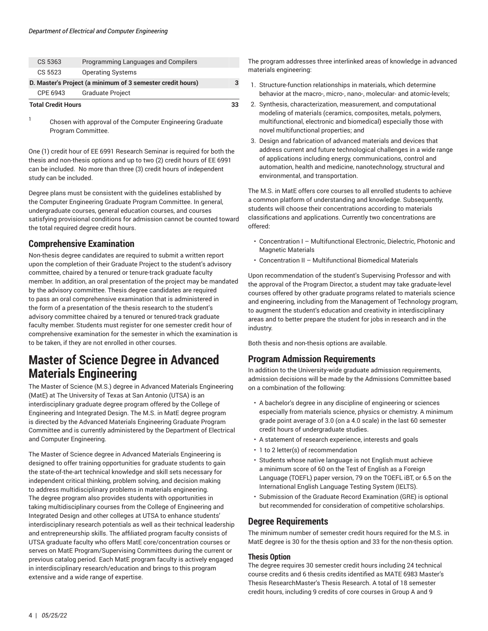| <b>Total Credit Hours</b>                                  |          |                                     |  |
|------------------------------------------------------------|----------|-------------------------------------|--|
|                                                            | CPE 6943 | <b>Graduate Project</b>             |  |
| D. Master's Project (a minimum of 3 semester credit hours) |          |                                     |  |
|                                                            | CS 5523  | <b>Operating Systems</b>            |  |
|                                                            | CS 5363  | Programming Languages and Compilers |  |
|                                                            |          |                                     |  |

1 Chosen with approval of the Computer Engineering Graduate Program Committee.

One (1) credit hour of EE 6991 Research Seminar is required for both the thesis and non-thesis options and up to two (2) credit hours of EE 6991 can be included. No more than three (3) credit hours of independent study can be included.

Degree plans must be consistent with the guidelines established by the Computer Engineering Graduate Program Committee. In general, undergraduate courses, general education courses, and courses satisfying provisional conditions for admission cannot be counted toward the total required degree credit hours.

### **Comprehensive Examination**

Non-thesis degree candidates are required to submit a written report upon the completion of their Graduate Project to the student's advisory committee, chaired by a tenured or tenure-track graduate faculty member. In addition, an oral presentation of the project may be mandated by the advisory committee. Thesis degree candidates are required to pass an oral comprehensive examination that is administered in the form of a presentation of the thesis research to the student's advisory committee chaired by a tenured or tenured-track graduate faculty member. Students must register for one semester credit hour of comprehensive examination for the semester in which the examination is to be taken, if they are not enrolled in other courses.

## <span id="page-3-0"></span>**Master of Science Degree in Advanced Materials Engineering**

The Master of Science (M.S.) degree in Advanced Materials Engineering (MatE) at The University of Texas at San Antonio (UTSA) is an interdisciplinary graduate degree program offered by the College of Engineering and Integrated Design. The M.S. in MatE degree program is directed by the Advanced Materials Engineering Graduate Program Committee and is currently administered by the Department of Electrical and Computer Engineering.

The Master of Science degree in Advanced Materials Engineering is designed to offer training opportunities for graduate students to gain the state-of-the-art technical knowledge and skill sets necessary for independent critical thinking, problem solving, and decision making to address multidisciplinary problems in materials engineering. The degree program also provides students with opportunities in taking multidisciplinary courses from the College of Engineering and Integrated Design and other colleges at UTSA to enhance students' interdisciplinary research potentials as well as their technical leadership and entrepreneurship skills. The affiliated program faculty consists of UTSA graduate faculty who offers MatE core/concentration courses or serves on MatE Program/Supervising Committees during the current or previous catalog period. Each MatE program faculty is actively engaged in interdisciplinary research/education and brings to this program extensive and a wide range of expertise.

The program addresses three interlinked areas of knowledge in advanced materials engineering:

- 1. Structure-function relationships in materials, which determine behavior at the macro-, micro-, nano-, molecular- and atomic-levels;
- 2. Synthesis, characterization, measurement, and computational modeling of materials (ceramics, composites, metals, polymers, multifunctional, electronic and biomedical) especially those with novel multifunctional properties; and
- 3. Design and fabrication of advanced materials and devices that address current and future technological challenges in a wide range of applications including energy, communications, control and automation, health and medicine, nanotechnology, structural and environmental, and transportation.

The M.S. in MatE offers core courses to all enrolled students to achieve a common platform of understanding and knowledge. Subsequently, students will choose their concentrations according to materials classifications and applications. Currently two concentrations are offered:

- Concentration I Multifunctional Electronic, Dielectric, Photonic and Magnetic Materials
- Concentration II Multifunctional Biomedical Materials

Upon recommendation of the student's Supervising Professor and with the approval of the Program Director, a student may take graduate-level courses offered by other graduate programs related to materials science and engineering, including from the Management of Technology program, to augment the student's education and creativity in interdisciplinary areas and to better prepare the student for jobs in research and in the industry.

Both thesis and non-thesis options are available.

## **Program Admission Requirements**

In addition to the University-wide graduate admission requirements, admission decisions will be made by the Admissions Committee based on a combination of the following:

- A bachelor's degree in any discipline of engineering or sciences especially from materials science, physics or chemistry. A minimum grade point average of 3.0 (on a 4.0 scale) in the last 60 semester credit hours of undergraduate studies.
- A statement of research experience, interests and goals
- 1 to 2 letter(s) of recommendation
- Students whose native language is not English must achieve a minimum score of 60 on the Test of English as a Foreign Language (TOEFL) paper version, 79 on the TOEFL iBT, or 6.5 on the International English Language Testing System (IELTS).
- Submission of the Graduate Record Examination (GRE) is optional but recommended for consideration of competitive scholarships.

## **Degree Requirements**

The minimum number of semester credit hours required for the M.S. in MatE degree is 30 for the thesis option and 33 for the non-thesis option.

### **Thesis Option**

The degree requires 30 semester credit hours including 24 technical course credits and 6 thesis credits identified as MATE 6983 Master's Thesis ResearchMaster's Thesis Research. A total of 18 semester credit hours, including 9 credits of core courses in Group A and 9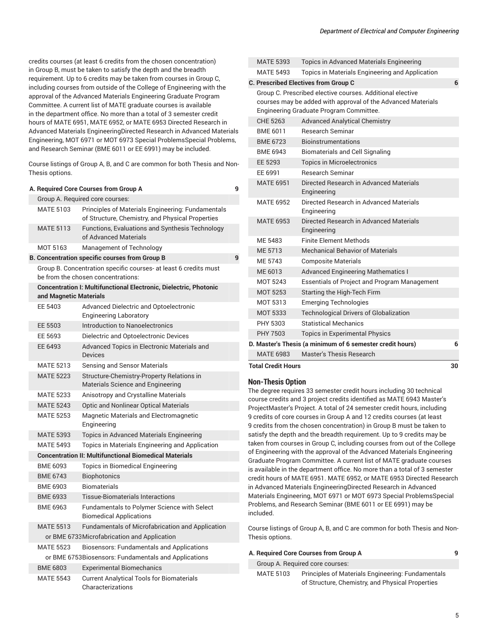credits courses (at least 6 credits from the chosen concentration) in Group B, must be taken to satisfy the depth and the breadth requirement. Up to 6 credits may be taken from courses in Group C, including courses from outside of the College of Engineering with the approval of the Advanced Materials Engineering Graduate Program Committee. A current list of MATE graduate courses is available in the department office. No more than a total of 3 semester credit hours of MATE 6951, MATE 6952, or MATE 6953 Directed Research in Advanced Materials EngineeringDirected Research in Advanced Materials Engineering, MOT 6971 or MOT 6973 Special ProblemsSpecial Problems, and Research Seminar (BME 6011 or EE 6991) may be included.

Course listings of Group A, B, and C are common for both Thesis and Non-Thesis options.

|                                                      | A. Required Core Courses from Group A                                                                  | 9 |
|------------------------------------------------------|--------------------------------------------------------------------------------------------------------|---|
|                                                      | Group A. Required core courses:                                                                        |   |
| <b>MATE 5103</b>                                     | Principles of Materials Engineering: Fundamentals<br>of Structure, Chemistry, and Physical Properties  |   |
| <b>MATE 5113</b>                                     | Functions, Evaluations and Synthesis Technology<br>of Advanced Materials                               |   |
| MOT 5163                                             | Management of Technology                                                                               |   |
|                                                      | <b>B. Concentration specific courses from Group B</b>                                                  | 9 |
|                                                      | Group B. Concentration specific courses- at least 6 credits must<br>be from the chosen concentrations: |   |
|                                                      | <b>Concentration I: Multifunctional Electronic, Dielectric, Photonic</b>                               |   |
| and Magnetic Materials                               |                                                                                                        |   |
| EE 5403                                              | Advanced Dielectric and Optoelectronic<br><b>Engineering Laboratory</b>                                |   |
| EE 5503                                              | Introduction to Nanoelectronics                                                                        |   |
| EE 5693                                              | Dielectric and Optoelectronic Devices                                                                  |   |
| EE 6493                                              | Advanced Topics in Electronic Materials and<br><b>Devices</b>                                          |   |
| <b>MATE 5213</b>                                     | Sensing and Sensor Materials                                                                           |   |
| <b>MATE 5223</b>                                     | Structure-Chemistry-Property Relations in<br><b>Materials Science and Engineering</b>                  |   |
| <b>MATE 5233</b>                                     | Anisotropy and Crystalline Materials                                                                   |   |
| <b>MATE 5243</b>                                     | <b>Optic and Nonlinear Optical Materials</b>                                                           |   |
| <b>MATE 5253</b>                                     | Magnetic Materials and Electromagnetic<br>Engineering                                                  |   |
| <b>MATE 5393</b>                                     | Topics in Advanced Materials Engineering                                                               |   |
| <b>MATE 5493</b>                                     | Topics in Materials Engineering and Application                                                        |   |
|                                                      | <b>Concentration II: Multifunctional Biomedical Materials</b>                                          |   |
| <b>BME 6093</b>                                      | Topics in Biomedical Engineering                                                                       |   |
| <b>BME 6743</b>                                      | <b>Biophotonics</b>                                                                                    |   |
| <b>BMF 6903</b>                                      | <b>Biomaterials</b>                                                                                    |   |
| <b>BME 6933</b>                                      | <b>Tissue-Biomaterials Interactions</b>                                                                |   |
| BME 6963                                             | Fundamentals to Polymer Science with Select<br><b>Biomedical Applications</b>                          |   |
| <b>MATE 5513</b>                                     | <b>Fundamentals of Microfabrication and Application</b>                                                |   |
|                                                      | or BME 6733 Microfabrication and Application                                                           |   |
| <b>MATE 5523</b>                                     | <b>Biosensors: Fundamentals and Applications</b>                                                       |   |
| or BME 6753Biosensors: Fundamentals and Applications |                                                                                                        |   |
| <b>BME 6803</b>                                      | <b>Experimental Biomechanics</b>                                                                       |   |
| <b>MATE 5543</b>                                     | <b>Current Analytical Tools for Biomaterials</b><br>Characterizations                                  |   |

| <b>MATE 5493</b> | Topics in Materials Engineering and Application        |                                                                                                                                                                                                                                                                                                                                             |
|------------------|--------------------------------------------------------|---------------------------------------------------------------------------------------------------------------------------------------------------------------------------------------------------------------------------------------------------------------------------------------------------------------------------------------------|
|                  |                                                        | 6                                                                                                                                                                                                                                                                                                                                           |
|                  |                                                        |                                                                                                                                                                                                                                                                                                                                             |
| CHE 5263         | <b>Advanced Analytical Chemistry</b>                   |                                                                                                                                                                                                                                                                                                                                             |
| BME 6011         | <b>Research Seminar</b>                                |                                                                                                                                                                                                                                                                                                                                             |
| <b>BME 6723</b>  | <b>Bioinstrumentations</b>                             |                                                                                                                                                                                                                                                                                                                                             |
| <b>BME 6943</b>  | <b>Biomaterials and Cell Signaling</b>                 |                                                                                                                                                                                                                                                                                                                                             |
| EE 5293          | <b>Topics in Microelectronics</b>                      |                                                                                                                                                                                                                                                                                                                                             |
| EE 6991          | <b>Research Seminar</b>                                |                                                                                                                                                                                                                                                                                                                                             |
| <b>MATE 6951</b> | Directed Research in Advanced Materials<br>Engineering |                                                                                                                                                                                                                                                                                                                                             |
| <b>MATE 6952</b> | Directed Research in Advanced Materials<br>Engineering |                                                                                                                                                                                                                                                                                                                                             |
| <b>MATE 6953</b> | Directed Research in Advanced Materials<br>Engineering |                                                                                                                                                                                                                                                                                                                                             |
| ME 5483          | <b>Finite Flement Methods</b>                          |                                                                                                                                                                                                                                                                                                                                             |
| ME 5713          | <b>Mechanical Behavior of Materials</b>                |                                                                                                                                                                                                                                                                                                                                             |
| ME 5743          | <b>Composite Materials</b>                             |                                                                                                                                                                                                                                                                                                                                             |
| ME 6013          | <b>Advanced Engineering Mathematics I</b>              |                                                                                                                                                                                                                                                                                                                                             |
| <b>MOT 5243</b>  | <b>Essentials of Project and Program Management</b>    |                                                                                                                                                                                                                                                                                                                                             |
| <b>MOT 5253</b>  | Starting the High-Tech Firm                            |                                                                                                                                                                                                                                                                                                                                             |
| MOT 5313         | <b>Emerging Technologies</b>                           |                                                                                                                                                                                                                                                                                                                                             |
| <b>MOT 5333</b>  | <b>Technological Drivers of Globalization</b>          |                                                                                                                                                                                                                                                                                                                                             |
| PHY 5303         | <b>Statistical Mechanics</b>                           |                                                                                                                                                                                                                                                                                                                                             |
| PHY 7503         | <b>Topics in Experimental Physics</b>                  |                                                                                                                                                                                                                                                                                                                                             |
|                  |                                                        | 6                                                                                                                                                                                                                                                                                                                                           |
| <b>MATE 6983</b> | Master's Thesis Research                               |                                                                                                                                                                                                                                                                                                                                             |
|                  |                                                        | 30                                                                                                                                                                                                                                                                                                                                          |
|                  | <b>MATE 5393</b>                                       | Topics in Advanced Materials Engineering<br>C. Prescribed Electives from Group C<br>Group C. Prescribed elective courses. Additional elective<br>courses may be added with approval of the Advanced Materials<br>Engineering Graduate Program Committee.<br>D. Master's Thesis (a minimum of 6 semester credit hours)<br>Total Credit Hours |

### **Non-Thesis Option**

The degree requires 33 semester credit hours including 30 technical course credits and 3 project credits identified as MATE 6943 Master's ProjectMaster's Project. A total of 24 semester credit hours, including 9 credits of core courses in Group A and 12 credits courses (at least 9 credits from the chosen concentration) in Group B must be taken to satisfy the depth and the breadth requirement. Up to 9 credits may be taken from courses in Group C, including courses from out of the College of Engineering with the approval of the Advanced Materials Engineering Graduate Program Committee. A current list of MATE graduate courses is available in the department office. No more than a total of 3 semester credit hours of MATE 6951. MATE 6952, or MATE 6953 Directed Research in Advanced Materials EngineeringDirected Research in Advanced Materials Engineering, MOT 6971 or MOT 6973 Special ProblemsSpecial Problems, and Research Seminar (BME 6011 or EE 6991) may be included.

Course listings of Group A, B, and C are common for both Thesis and Non-Thesis options.

|                  | A. Required Core Courses from Group A             | q |
|------------------|---------------------------------------------------|---|
|                  | Group A. Required core courses:                   |   |
| <b>MATE 5103</b> | Principles of Materials Engineering: Fundamentals |   |

of Structure, Chemistry, and Physical Properties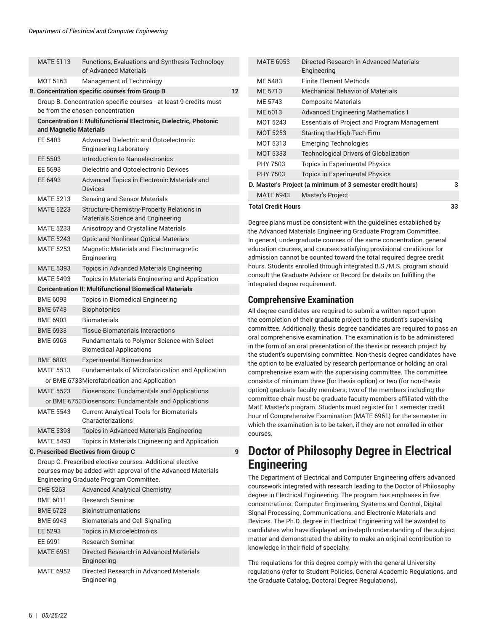| <b>MATE 5113</b>       | Functions, Evaluations and Synthesis Technology<br>of Advanced Materials                                                                                             |                   |
|------------------------|----------------------------------------------------------------------------------------------------------------------------------------------------------------------|-------------------|
| MOT 5163               | Management of Technology                                                                                                                                             |                   |
|                        | <b>B. Concentration specific courses from Group B</b>                                                                                                                | $12 \overline{ }$ |
|                        | Group B. Concentration specific courses - at least 9 credits must<br>be from the chosen concentration                                                                |                   |
| and Magnetic Materials | <b>Concentration I: Multifunctional Electronic, Dielectric, Photonic</b>                                                                                             |                   |
| EE 5403                | Advanced Dielectric and Optoelectronic<br><b>Engineering Laboratory</b>                                                                                              |                   |
| EE 5503                | Introduction to Nanoelectronics                                                                                                                                      |                   |
| EE 5693                | Dielectric and Optoelectronic Devices                                                                                                                                |                   |
| EE 6493                | Advanced Topics in Electronic Materials and<br><b>Devices</b>                                                                                                        |                   |
| MATE 5213              | Sensing and Sensor Materials                                                                                                                                         |                   |
| <b>MATE 5223</b>       | Structure-Chemistry-Property Relations in<br>Materials Science and Engineering                                                                                       |                   |
| <b>MATE 5233</b>       | Anisotropy and Crystalline Materials                                                                                                                                 |                   |
| <b>MATE 5243</b>       | <b>Optic and Nonlinear Optical Materials</b>                                                                                                                         |                   |
| <b>MATE 5253</b>       | Magnetic Materials and Electromagnetic<br>Engineering                                                                                                                |                   |
| <b>MATE 5393</b>       | Topics in Advanced Materials Engineering                                                                                                                             |                   |
| <b>MATE 5493</b>       | Topics in Materials Engineering and Application                                                                                                                      |                   |
|                        | <b>Concentration II: Multifunctional Biomedical Materials</b>                                                                                                        |                   |
| <b>BME 6093</b>        | Topics in Biomedical Engineering                                                                                                                                     |                   |
| <b>BME 6743</b>        | <b>Biophotonics</b>                                                                                                                                                  |                   |
| <b>BME 6903</b>        | <b>Biomaterials</b>                                                                                                                                                  |                   |
| <b>BME 6933</b>        | <b>Tissue-Biomaterials Interactions</b>                                                                                                                              |                   |
| <b>BME 6963</b>        | Fundamentals to Polymer Science with Select<br><b>Biomedical Applications</b>                                                                                        |                   |
| <b>BME 6803</b>        | <b>Experimental Biomechanics</b>                                                                                                                                     |                   |
| <b>MATE 5513</b>       | <b>Fundamentals of Microfabrication and Application</b>                                                                                                              |                   |
|                        | or BME 6733Microfabrication and Application                                                                                                                          |                   |
| <b>MATE 5523</b>       | <b>Biosensors: Fundamentals and Applications</b>                                                                                                                     |                   |
|                        | or BME 6753Biosensors: Fundamentals and Applications                                                                                                                 |                   |
| <b>MATE 5543</b>       | <b>Current Analytical Tools for Biomaterials</b><br>Characterizations                                                                                                |                   |
| <b>MATE 5393</b>       | Topics in Advanced Materials Engineering                                                                                                                             |                   |
| <b>MATE 5493</b>       | Topics in Materials Engineering and Application                                                                                                                      |                   |
|                        | <b>C. Prescribed Electives from Group C</b>                                                                                                                          | 9                 |
|                        | Group C. Prescribed elective courses. Additional elective<br>courses may be added with approval of the Advanced Materials<br>Engineering Graduate Program Committee. |                   |
| CHE 5263               | <b>Advanced Analytical Chemistry</b>                                                                                                                                 |                   |
| BME 6011               | <b>Research Seminar</b>                                                                                                                                              |                   |
| <b>BME 6723</b>        | <b>Bioinstrumentations</b>                                                                                                                                           |                   |
| <b>BME 6943</b>        | <b>Biomaterials and Cell Signaling</b>                                                                                                                               |                   |
| EE 5293                | <b>Topics in Microelectronics</b>                                                                                                                                    |                   |
| EE 6991                | <b>Research Seminar</b>                                                                                                                                              |                   |
| <b>MATE 6951</b>       | Directed Research in Advanced Materials<br>Engineering                                                                                                               |                   |
| <b>MATE 6952</b>       | Directed Research in Advanced Materials<br>Engineering                                                                                                               |                   |

| <b>Total Credit Hours</b>                                  |                                                        | 33 |
|------------------------------------------------------------|--------------------------------------------------------|----|
| <b>MATE 6943</b>                                           | <b>Master's Project</b>                                |    |
| D. Master's Project (a minimum of 3 semester credit hours) |                                                        |    |
| PHY 7503                                                   | <b>Topics in Experimental Physics</b>                  |    |
| PHY 7503                                                   | <b>Topics in Experimental Physics</b>                  |    |
| MOT 5333                                                   | <b>Technological Drivers of Globalization</b>          |    |
| MOT 5313                                                   | <b>Emerging Technologies</b>                           |    |
| <b>MOT 5253</b>                                            | Starting the High-Tech Firm                            |    |
| MOT 5243                                                   | <b>Essentials of Project and Program Management</b>    |    |
| ME 6013                                                    | <b>Advanced Engineering Mathematics I</b>              |    |
| MF 5743                                                    | <b>Composite Materials</b>                             |    |
| ME 5713                                                    | <b>Mechanical Behavior of Materials</b>                |    |
| ME 5483                                                    | <b>Finite Flement Methods</b>                          |    |
| <b>MATE 6953</b>                                           | Directed Research in Advanced Materials<br>Engineering |    |
|                                                            |                                                        |    |

Degree plans must be consistent with the guidelines established by the Advanced Materials Engineering Graduate Program Committee. In general, undergraduate courses of the same concentration, general education courses, and courses satisfying provisional conditions for admission cannot be counted toward the total required degree credit hours. Students enrolled through integrated B.S./M.S. program should consult the Graduate Advisor or Record for details on fulfilling the integrated degree requirement.

### **Comprehensive Examination**

All degree candidates are required to submit a written report upon the completion of their graduate project to the student's supervising committee. Additionally, thesis degree candidates are required to pass an oral comprehensive examination. The examination is to be administered in the form of an oral presentation of the thesis or research project by the student's supervising committee. Non-thesis degree candidates have the option to be evaluated by research performance or holding an oral comprehensive exam with the supervising committee. The committee consists of minimum three (for thesis option) or two (for non-thesis option) graduate faculty members; two of the members including the committee chair must be graduate faculty members affiliated with the MatE Master's program. Students must register for 1 semester credit hour of Comprehensive Examination (MATE 6961) for the semester in which the examination is to be taken, if they are not enrolled in other courses.

## <span id="page-5-0"></span>**Doctor of Philosophy Degree in Electrical Engineering**

The Department of Electrical and Computer Engineering offers advanced coursework integrated with research leading to the Doctor of Philosophy degree in Electrical Engineering. The program has emphases in five concentrations: Computer Engineering, Systems and Control, Digital Signal Processing, Communications, and Electronic Materials and Devices. The Ph.D. degree in Electrical Engineering will be awarded to candidates who have displayed an in-depth understanding of the subject matter and demonstrated the ability to make an original contribution to knowledge in their field of specialty.

The regulations for this degree comply with the general University regulations (refer to Student Policies, General Academic Regulations, and the Graduate Catalog, Doctoral Degree Regulations).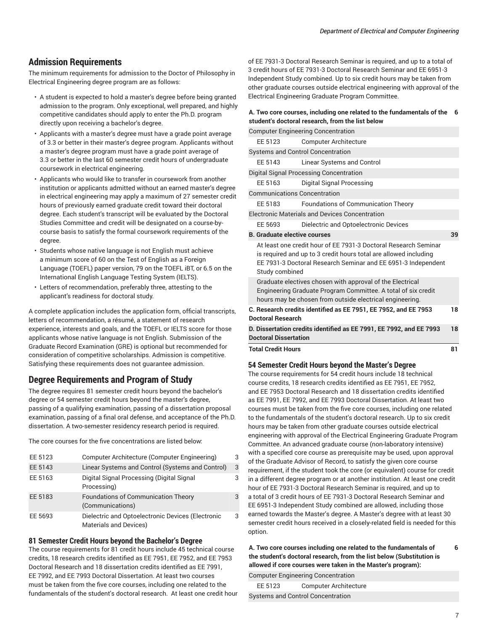### **Admission Requirements**

The minimum requirements for admission to the Doctor of Philosophy in Electrical Engineering degree program are as follows:

- A student is expected to hold a master's degree before being granted admission to the program. Only exceptional, well prepared, and highly competitive candidates should apply to enter the Ph.D. program directly upon receiving a bachelor's degree.
- Applicants with a master's degree must have a grade point average of 3.3 or better in their master's degree program. Applicants without a master's degree program must have a grade point average of 3.3 or better in the last 60 semester credit hours of undergraduate coursework in electrical engineering.
- Applicants who would like to transfer in coursework from another institution or applicants admitted without an earned master's degree in electrical engineering may apply a maximum of 27 semester credit hours of previously earned graduate credit toward their doctoral degree. Each student's transcript will be evaluated by the Doctoral Studies Committee and credit will be designated on a course-bycourse basis to satisfy the formal coursework requirements of the degree.
- Students whose native language is not English must achieve a minimum score of 60 on the Test of English as a Foreign Language (TOEFL) paper version, 79 on the TOEFL iBT, or 6.5 on the International English Language Testing System (IELTS).
- Letters of recommendation, preferably three, attesting to the applicant's readiness for doctoral study.

A complete application includes the application form, official transcripts, letters of recommendation, a résumé, a statement of research experience, interests and goals, and the TOEFL or IELTS score for those applicants whose native language is not English. Submission of the Graduate Record Examination (GRE) is optional but recommended for consideration of competitive scholarships. Admission is competitive. Satisfying these requirements does not guarantee admission.

### **Degree Requirements and Program of Study**

The degree requires 81 semester credit hours beyond the bachelor's degree or 54 semester credit hours beyond the master's degree, passing of a qualifying examination, passing of a dissertation proposal examination, passing of a final oral defense, and acceptance of the Ph.D. dissertation. A two-semester residency research period is required.

The core courses for the five concentrations are listed below:

| EE 5123 | Computer Architecture (Computer Engineering)                                       | 3 |
|---------|------------------------------------------------------------------------------------|---|
| EE 5143 | Linear Systems and Control (Systems and Control)                                   | 3 |
| EE 5163 | Digital Signal Processing (Digital Signal<br>Processing)                           | 3 |
| EE 5183 | <b>Foundations of Communication Theory</b><br>(Communications)                     | 3 |
| EE 5693 | Dielectric and Optoelectronic Devices (Electronic<br><b>Materials and Devices)</b> | 3 |

### **81 Semester Credit Hours beyond the Bachelor's Degree**

The course requirements for 81 credit hours include 45 technical course credits, 18 research credits identified as EE 7951, EE 7952, and EE 7953 Doctoral Research and 18 dissertation credits identified as EE 7991, EE 7992, and EE 7993 Doctoral Dissertation. At least two courses must be taken from the five core courses, including one related to the fundamentals of the student's doctoral research. At least one credit hour of EE 7931-3 Doctoral Research Seminar is required, and up to a total of 3 credit hours of EE 7931-3 Doctoral Research Seminar and [EE 6951-](/search/?P=EE%206951)3 Independent Study combined. Up to six credit hours may be taken from other graduate courses outside electrical engineering with approval of the Electrical Engineering Graduate Program Committee.

#### **A. Two core courses, including one related to the fundamentals of the 6 student's doctoral research, from the list below**

| <b>Computer Engineering Concentration</b>                                                                                                                                                                              |                                                       |    |
|------------------------------------------------------------------------------------------------------------------------------------------------------------------------------------------------------------------------|-------------------------------------------------------|----|
| FF 5123                                                                                                                                                                                                                | <b>Computer Architecture</b>                          |    |
| <b>Systems and Control Concentration</b>                                                                                                                                                                               |                                                       |    |
| EE 5143                                                                                                                                                                                                                | Linear Systems and Control                            |    |
|                                                                                                                                                                                                                        | Digital Signal Processing Concentration               |    |
| FF 5163                                                                                                                                                                                                                | Digital Signal Processing                             |    |
| <b>Communications Concentration</b>                                                                                                                                                                                    |                                                       |    |
| FF 5183                                                                                                                                                                                                                | <b>Foundations of Communication Theory</b>            |    |
|                                                                                                                                                                                                                        | <b>Electronic Materials and Devices Concentration</b> |    |
| EE 5693                                                                                                                                                                                                                | Dielectric and Optoelectronic Devices                 |    |
| <b>B.</b> Graduate elective courses                                                                                                                                                                                    |                                                       | 39 |
| At least one credit hour of EE 7931-3 Doctoral Research Seminar<br>is required and up to 3 credit hours total are allowed including<br>EE 7931-3 Doctoral Research Seminar and EE 6951-3 Independent<br>Study combined |                                                       |    |
| Graduate electives chosen with approval of the Electrical<br>Engineering Graduate Program Committee. A total of six credit<br>hours may be chosen from outside electrical engineering.                                 |                                                       |    |
| C. Research credits identified as EE 7951, EE 7952, and EE 7953<br><b>Doctoral Research</b>                                                                                                                            |                                                       | 18 |
| D. Dissertation credits identified as EE 7991, EE 7992, and EE 7993<br><b>Doctoral Dissertation</b>                                                                                                                    |                                                       | 18 |
| <b>Total Credit Hours</b><br>81                                                                                                                                                                                        |                                                       |    |

### **54 Semester Credit Hours beyond the Master's Degree**

The course requirements for 54 credit hours include 18 technical course credits, 18 research credits identified as EE 7951, EE 7952, and EE 7953 Doctoral Research and 18 dissertation credits identified as EE 7991, EE 7992, and EE 7993 Doctoral Dissertation. At least two courses must be taken from the five core courses, including one related to the fundamentals of the student's doctoral research. Up to six credit hours may be taken from other graduate courses outside electrical engineering with approval of the Electrical Engineering Graduate Program Committee. An advanced graduate course (non-laboratory intensive) with a specified core course as prerequisite may be used, upon approval of the Graduate Advisor of Record, to satisfy the given core course requirement, if the student took the core (or equivalent) course for credit in a different degree program or at another institution. At least one credit hour of EE 7931-3 Doctoral Research Seminar is required, and up to a total of 3 credit hours of EE 7931-3 Doctoral Research Seminar and [EE 6951-](/search/?P=EE%206951)3 Independent Study combined are allowed, including those earned towards the Master's degree. A Master's degree with at least 30 semester credit hours received in a closely-related field is needed for this option.

**A. Two core courses including one related to the fundamentals of the student's doctoral research, from the list below (Substitution is allowed if core courses were taken in the Master's program): 6**

Computer Engineering Concentration

EE 5123 Computer Architecture Systems and Control Concentration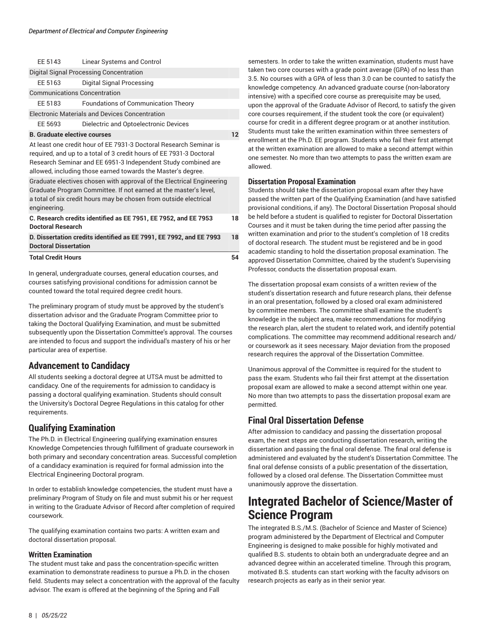| FF 5143                                                                                                                                                                                                                                                                    | Linear Systems and Control                                          |    |
|----------------------------------------------------------------------------------------------------------------------------------------------------------------------------------------------------------------------------------------------------------------------------|---------------------------------------------------------------------|----|
|                                                                                                                                                                                                                                                                            | Digital Signal Processing Concentration                             |    |
| EE 5163                                                                                                                                                                                                                                                                    | Digital Signal Processing                                           |    |
| <b>Communications Concentration</b>                                                                                                                                                                                                                                        |                                                                     |    |
| FF 5183                                                                                                                                                                                                                                                                    | <b>Foundations of Communication Theory</b>                          |    |
|                                                                                                                                                                                                                                                                            | <b>Electronic Materials and Devices Concentration</b>               |    |
| EE 5693                                                                                                                                                                                                                                                                    | Dielectric and Optoelectronic Devices                               |    |
| <b>B.</b> Graduate elective courses                                                                                                                                                                                                                                        |                                                                     | 12 |
| At least one credit hour of EE 7931-3 Doctoral Research Seminar is<br>required, and up to a total of 3 credit hours of EE 7931-3 Doctoral<br>Research Seminar and EE 6951-3 Independent Study combined are<br>allowed, including those earned towards the Master's degree. |                                                                     |    |
| Graduate electives chosen with approval of the Electrical Engineering<br>Graduate Program Committee. If not earned at the master's level,<br>a total of six credit hours may be chosen from outside electrical<br>engineering.                                             |                                                                     |    |
| C. Research credits identified as EE 7951, EE 7952, and EE 7953<br><b>Doctoral Research</b>                                                                                                                                                                                |                                                                     | 18 |
| <b>Doctoral Dissertation</b>                                                                                                                                                                                                                                               | D. Dissertation credits identified as EE 7991, EE 7992, and EE 7993 | 18 |
| <b>Total Credit Hours</b>                                                                                                                                                                                                                                                  |                                                                     | 54 |

In general, undergraduate courses, general education courses, and courses satisfying provisional conditions for admission cannot be counted toward the total required degree credit hours.

The preliminary program of study must be approved by the student's dissertation advisor and the Graduate Program Committee prior to taking the Doctoral Qualifying Examination, and must be submitted subsequently upon the Dissertation Committee's approval. The courses are intended to focus and support the individual's mastery of his or her particular area of expertise.

### **Advancement to Candidacy**

All students seeking a doctoral degree at UTSA must be admitted to candidacy. One of the requirements for admission to candidacy is passing a doctoral qualifying examination. Students should consult the University's Doctoral Degree Regulations in this catalog for other requirements.

### **Qualifying Examination**

The Ph.D. in Electrical Engineering qualifying examination ensures Knowledge Competencies through fulfillment of graduate coursework in both primary and secondary concentration areas. Successful completion of a candidacy examination is required for formal admission into the Electrical Engineering Doctoral program.

In order to establish knowledge competencies, the student must have a preliminary Program of Study on file and must submit his or her request in writing to the Graduate Advisor of Record after completion of required coursework.

The qualifying examination contains two parts: A written exam and doctoral dissertation proposal.

### **Written Examination**

The student must take and pass the concentration-specific written examination to demonstrate readiness to pursue a Ph.D. in the chosen field. Students may select a concentration with the approval of the faculty advisor. The exam is offered at the beginning of the Spring and Fall

semesters. In order to take the written examination, students must have taken two core courses with a grade point average (GPA) of no less than 3.5. No courses with a GPA of less than 3.0 can be counted to satisfy the knowledge competency. An advanced graduate course (non-laboratory intensive) with a specified core course as prerequisite may be used, upon the approval of the Graduate Advisor of Record, to satisfy the given core courses requirement, if the student took the core (or equivalent) course for credit in a different degree program or at another institution. Students must take the written examination within three semesters of enrollment at the Ph.D. EE program. Students who fail their first attempt at the written examination are allowed to make a second attempt within one semester. No more than two attempts to pass the written exam are allowed.

### **Dissertation Proposal Examination**

Students should take the dissertation proposal exam after they have passed the written part of the Qualifying Examination (and have satisfied provisional conditions, if any). The Doctoral Dissertation Proposal should be held before a student is qualified to register for Doctoral Dissertation Courses and it must be taken during the time period after passing the written examination and prior to the student's completion of 18 credits of doctoral research. The student must be registered and be in good academic standing to hold the dissertation proposal examination. The approved Dissertation Committee, chaired by the student's Supervising Professor, conducts the dissertation proposal exam.

The dissertation proposal exam consists of a written review of the student's dissertation research and future research plans, their defense in an oral presentation, followed by a closed oral exam administered by committee members. The committee shall examine the student's knowledge in the subject area, make recommendations for modifying the research plan, alert the student to related work, and identify potential complications. The committee may recommend additional research and/ or coursework as it sees necessary. Major deviation from the proposed research requires the approval of the Dissertation Committee.

Unanimous approval of the Committee is required for the student to pass the exam. Students who fail their first attempt at the dissertation proposal exam are allowed to make a second attempt within one year. No more than two attempts to pass the dissertation proposal exam are permitted.

## **Final Oral Dissertation Defense**

After admission to candidacy and passing the dissertation proposal exam, the next steps are conducting dissertation research, writing the dissertation and passing the final oral defense. The final oral defense is administered and evaluated by the student's Dissertation Committee. The final oral defense consists of a public presentation of the dissertation, followed by a closed oral defense. The Dissertation Committee must unanimously approve the dissertation.

## <span id="page-7-0"></span>**Integrated Bachelor of Science/Master of Science Program**

The integrated B.S./M.S. (Bachelor of Science and Master of Science) program administered by the Department of Electrical and Computer Engineering is designed to make possible for highly motivated and qualified B.S. students to obtain both an undergraduate degree and an advanced degree within an accelerated timeline. Through this program, motivated B.S. students can start working with the faculty advisors on research projects as early as in their senior year.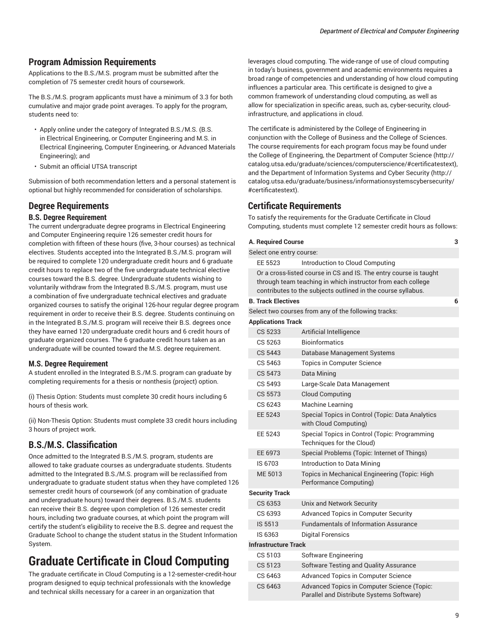### **Program Admission Requirements**

Applications to the B.S./M.S. program must be submitted after the completion of 75 semester credit hours of coursework.

The B.S./M.S. program applicants must have a minimum of 3.3 for both cumulative and major grade point averages. To apply for the program, students need to:

- Apply online under the category of Integrated B.S./M.S. (B.S. in Electrical Engineering, or Computer Engineering and M.S. in Electrical Engineering, Computer Engineering, or Advanced Materials Engineering); and
- Submit an official UTSA transcript

Submission of both recommendation letters and a personal statement is optional but highly recommended for consideration of scholarships.

### **Degree Requirements**

### **B.S. Degree Requirement**

The current undergraduate degree programs in Electrical Engineering and Computer Engineering require 126 semester credit hours for completion with fifteen of these hours (five, 3-hour courses) as technical electives. Students accepted into the Integrated B.S./M.S. program will be required to complete 120 undergraduate credit hours and 6 graduate credit hours to replace two of the five undergraduate technical elective courses toward the B.S. degree. Undergraduate students wishing to voluntarily withdraw from the Integrated B.S./M.S. program, must use a combination of five undergraduate technical electives and graduate organized courses to satisfy the original 126-hour regular degree program requirement in order to receive their B.S. degree. Students continuing on in the Integrated B.S./M.S. program will receive their B.S. degrees once they have earned 120 undergraduate credit hours and 6 credit hours of graduate organized courses. The 6 graduate credit hours taken as an undergraduate will be counted toward the M.S. degree requirement.

### **M.S. Degree Requirement**

A student enrolled in the Integrated B.S./M.S. program can graduate by completing requirements for a thesis or nonthesis (project) option.

(i) Thesis Option: Students must complete 30 credit hours including 6 hours of thesis work.

(ii) Non-Thesis Option: Students must complete 33 credit hours including 3 hours of project work.

### **B.S./M.S. Classification**

Once admitted to the Integrated B.S./M.S. program, students are allowed to take graduate courses as undergraduate students. Students admitted to the Integrated B.S./M.S. program will be reclassified from undergraduate to graduate student status when they have completed 126 semester credit hours of coursework (of any combination of graduate and undergraduate hours) toward their degrees. B.S./M.S. students can receive their B.S. degree upon completion of 126 semester credit hours, including two graduate courses, at which point the program will certify the student's eligibility to receive the B.S. degree and request the Graduate School to change the student status in the Student Information System.

# **Graduate Certificate in Cloud Computing**

The graduate certificate in Cloud Computing is a 12-semester-credit-hour program designed to equip technical professionals with the knowledge and technical skills necessary for a career in an organization that

leverages cloud computing. The wide-range of use of cloud computing in today's business, government and academic environments requires a broad range of competencies and understanding of how cloud computing influences a particular area. This certificate is designed to give a common framework of understanding cloud computing, as well as allow for specialization in specific areas, such as, cyber-security, cloudinfrastructure, and applications in cloud.

The certificate is administered by the College of Engineering in conjunction with the College of Business and the College of Sciences. The course requirements for each program focus may be found under the College of Engineering, the [Department](http://catalog.utsa.edu/graduate/sciences/computerscience/#certificatestext) of Computer Science ([http://](http://catalog.utsa.edu/graduate/sciences/computerscience/#certificatestext) [catalog.utsa.edu/graduate/sciences/computerscience/#certificatestext](http://catalog.utsa.edu/graduate/sciences/computerscience/#certificatestext)), and the [Department](http://catalog.utsa.edu/graduate/business/informationsystemscybersecurity/#certificatestext) of Information Systems and Cyber Security ([http://](http://catalog.utsa.edu/graduate/business/informationsystemscybersecurity/#certificatestext) [catalog.utsa.edu/graduate/business/informationsystemscybersecurity/](http://catalog.utsa.edu/graduate/business/informationsystemscybersecurity/#certificatestext) [#certificatestext](http://catalog.utsa.edu/graduate/business/informationsystemscybersecurity/#certificatestext)).

### **Certificate Requirements**

To satisfy the requirements for the Graduate Certificate in Cloud Computing, students must complete 12 semester credit hours as follows:

| A. Required Course<br>3     |                                                                                                                                                                                                  |   |
|-----------------------------|--------------------------------------------------------------------------------------------------------------------------------------------------------------------------------------------------|---|
| Select one entry course:    |                                                                                                                                                                                                  |   |
| EE 5523                     | Introduction to Cloud Computing                                                                                                                                                                  |   |
|                             | Or a cross-listed course in CS and IS. The entry course is taught<br>through team teaching in which instructor from each college<br>contributes to the subjects outlined in the course syllabus. |   |
| <b>B. Track Electives</b>   |                                                                                                                                                                                                  | 6 |
|                             | Select two courses from any of the following tracks:                                                                                                                                             |   |
| <b>Applications Track</b>   |                                                                                                                                                                                                  |   |
| CS 5233                     | Artificial Intelligence                                                                                                                                                                          |   |
| CS 5263                     | <b>Bioinformatics</b>                                                                                                                                                                            |   |
| CS 5443                     | Database Management Systems                                                                                                                                                                      |   |
| CS 5463                     | Topics in Computer Science                                                                                                                                                                       |   |
| CS 5473                     | Data Mining                                                                                                                                                                                      |   |
| CS 5493                     | Large-Scale Data Management                                                                                                                                                                      |   |
| CS 5573                     | <b>Cloud Computing</b>                                                                                                                                                                           |   |
| CS 6243                     | Machine Learning                                                                                                                                                                                 |   |
| EE 5243                     | Special Topics in Control (Topic: Data Analytics<br>with Cloud Computing)                                                                                                                        |   |
| EE 5243                     | Special Topics in Control (Topic: Programming<br>Techniques for the Cloud)                                                                                                                       |   |
| EE 6973                     | Special Problems (Topic: Internet of Things)                                                                                                                                                     |   |
| IS 6703                     | Introduction to Data Mining                                                                                                                                                                      |   |
| ME 5013                     | Topics in Mechanical Engineering (Topic: High<br>Performance Computing)                                                                                                                          |   |
| <b>Security Track</b>       |                                                                                                                                                                                                  |   |
| CS 6353                     | Unix and Network Security                                                                                                                                                                        |   |
| CS 6393                     | <b>Advanced Topics in Computer Security</b>                                                                                                                                                      |   |
| IS 5513                     | <b>Fundamentals of Information Assurance</b>                                                                                                                                                     |   |
| IS 6363                     | <b>Digital Forensics</b>                                                                                                                                                                         |   |
| <b>Infrastructure Track</b> |                                                                                                                                                                                                  |   |
| CS 5103                     | Software Engineering                                                                                                                                                                             |   |
| CS 5123                     | Software Testing and Quality Assurance                                                                                                                                                           |   |
| CS 6463                     | Advanced Topics in Computer Science                                                                                                                                                              |   |
| CS 6463                     | <b>Advanced Topics in Computer Science (Topic:</b><br>Parallel and Distribute Systems Software)                                                                                                  |   |
|                             |                                                                                                                                                                                                  |   |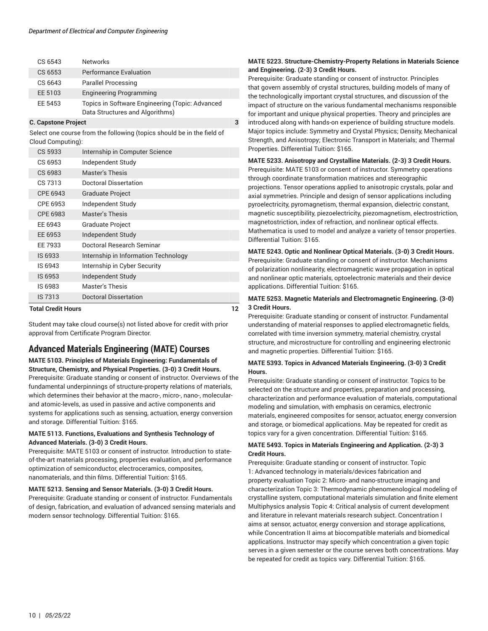| CS 6543                         | <b>Networks</b>                                 |  |
|---------------------------------|-------------------------------------------------|--|
| CS 6553                         | Performance Evaluation                          |  |
| CS 6643                         | <b>Parallel Processing</b>                      |  |
| EE 5103                         | <b>Engineering Programming</b>                  |  |
| EE 5453                         | Topics in Software Engineering (Topic: Advanced |  |
|                                 | Data Structures and Algorithms)                 |  |
| <b>C. Capstone Project</b><br>3 |                                                 |  |

Select one course from the following (topics should be in the field of Cloud Computing):

| Total Credit Hours |                                      | 12 |
|--------------------|--------------------------------------|----|
| IS 7313            | <b>Doctoral Dissertation</b>         |    |
| IS 6983            | <b>Master's Thesis</b>               |    |
| IS 6953            | Independent Study                    |    |
| IS 6943            | Internship in Cyber Security         |    |
| IS 6933            | Internship in Information Technology |    |
| EE 7933            | Doctoral Research Seminar            |    |
| EE 6953            | Independent Study                    |    |
| EE 6943            | <b>Graduate Project</b>              |    |
| CPE 6983           | <b>Master's Thesis</b>               |    |
| CPE 6953           | Independent Study                    |    |
| CPE 6943           | <b>Graduate Project</b>              |    |
| CS 7313            | Doctoral Dissertation                |    |
| CS 6983            | Master's Thesis                      |    |
| CS 6953            | Independent Study                    |    |
| CS 5933            | Internship in Computer Science       |    |

Student may take cloud course(s) not listed above for credit with prior approval from Certificate Program Director.

### **Advanced Materials Engineering (MATE) Courses**

**MATE 5103. Principles of Materials Engineering: Fundamentals of Structure, Chemistry, and Physical Properties. (3-0) 3 Credit Hours.** Prerequisite: Graduate standing or consent of instructor. Overviews of the fundamental underpinnings of structure-property relations of materials, which determines their behavior at the macro-, micro-, nano-, molecularand atomic-levels, as used in passive and active components and systems for applications such as sensing, actuation, energy conversion and storage. Differential Tuition: \$165.

### **MATE 5113. Functions, Evaluations and Synthesis Technology of Advanced Materials. (3-0) 3 Credit Hours.**

Prerequisite: MATE 5103 or consent of instructor. Introduction to stateof-the-art materials processing, properties evaluation, and performance optimization of semiconductor, electroceramics, composites, nanomaterials, and thin films. Differential Tuition: \$165.

### **MATE 5213. Sensing and Sensor Materials. (3-0) 3 Credit Hours.**

Prerequisite: Graduate standing or consent of instructor. Fundamentals of design, fabrication, and evaluation of advanced sensing materials and modern sensor technology. Differential Tuition: \$165.

### **MATE 5223. Structure-Chemistry-Property Relations in Materials Science and Engineering. (2-3) 3 Credit Hours.**

Prerequisite: Graduate standing or consent of instructor. Principles that govern assembly of crystal structures, building models of many of the technologically important crystal structures, and discussion of the impact of structure on the various fundamental mechanisms responsible for important and unique physical properties. Theory and principles are introduced along with hands-on experience of building structure models. Major topics include: Symmetry and Crystal Physics; Density, Mechanical Strength, and Anisotropy; Electronic Transport in Materials; and Thermal Properties. Differential Tuition: \$165.

### **MATE 5233. Anisotropy and Crystalline Materials. (2-3) 3 Credit Hours.** Prerequisite: MATE 5103 or consent of instructor. Symmetry operations through coordinate transformation matrices and stereographic projections. Tensor operations applied to anisotropic crystals, polar and axial symmetries. Principle and design of sensor applications including pyroelectricity, pyromagnetism, thermal expansion, dielectric constant, magnetic susceptibility, piezoelectricity, piezomagnetism, electrostriction, magnetostriction, index of refraction, and nonlinear optical effects. Mathematica is used to model and analyze a variety of tensor properties. Differential Tuition: \$165.

### **MATE 5243. Optic and Nonlinear Optical Materials. (3-0) 3 Credit Hours.** Prerequisite: Graduate standing or consent of instructor. Mechanisms of polarization nonlinearity, electromagnetic wave propagation in optical and nonlinear optic materials, optoelectronic materials and their device applications. Differential Tuition: \$165.

### **MATE 5253. Magnetic Materials and Electromagnetic Engineering. (3-0) 3 Credit Hours.**

Prerequisite: Graduate standing or consent of instructor. Fundamental understanding of material responses to applied electromagnetic fields, correlated with time inversion symmetry, material chemistry, crystal structure, and microstructure for controlling and engineering electronic and magnetic properties. Differential Tuition: \$165.

### **MATE 5393. Topics in Advanced Materials Engineering. (3-0) 3 Credit Hours.**

Prerequisite: Graduate standing or consent of instructor. Topics to be selected on the structure and properties, preparation and processing, characterization and performance evaluation of materials, computational modeling and simulation, with emphasis on ceramics, electronic materials, engineered composites for sensor, actuator, energy conversion and storage, or biomedical applications. May be repeated for credit as topics vary for a given concentration. Differential Tuition: \$165.

### **MATE 5493. Topics in Materials Engineering and Application. (2-3) 3 Credit Hours.**

Prerequisite: Graduate standing or consent of instructor. Topic 1: Advanced technology in materials/devices fabrication and property evaluation Topic 2: Micro- and nano-structure imaging and characterization Topic 3: Thermodynamic phenomenological modeling of crystalline system, computational materials simulation and finite element Multiphysics analysis Topic 4: Critical analysis of current development and literature in relevant materials research subject. Concentration I aims at sensor, actuator, energy conversion and storage applications, while Concentration II aims at biocompatible materials and biomedical applications. Instructor may specify which concentration a given topic serves in a given semester or the course serves both concentrations. May be repeated for credit as topics vary. Differential Tuition: \$165.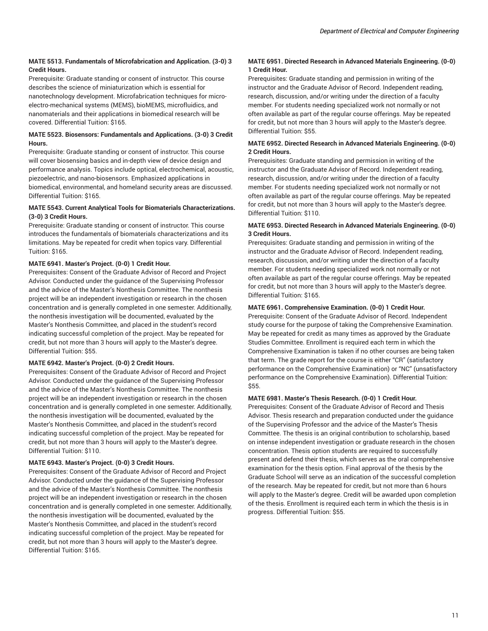### **MATE 5513. Fundamentals of Microfabrication and Application. (3-0) 3 Credit Hours.**

Prerequisite: Graduate standing or consent of instructor. This course describes the science of miniaturization which is essential for nanotechnology development. Microfabrication techniques for microelectro-mechanical systems (MEMS), bioMEMS, microfluidics, and nanomaterials and their applications in biomedical research will be covered. Differential Tuition: \$165.

### **MATE 5523. Biosensors: Fundamentals and Applications. (3-0) 3 Credit Hours.**

Prerequisite: Graduate standing or consent of instructor. This course will cover biosensing basics and in-depth view of device design and performance analysis. Topics include optical, electrochemical, acoustic, piezoelectric, and nano-biosensors. Emphasized applications in biomedical, environmental, and homeland security areas are discussed. Differential Tuition: \$165.

### **MATE 5543. Current Analytical Tools for Biomaterials Characterizations. (3-0) 3 Credit Hours.**

Prerequisite: Graduate standing or consent of instructor. This course introduces the fundamentals of biomaterials characterizations and its limitations. May be repeated for credit when topics vary. Differential Tuition: \$165.

### **MATE 6941. Master's Project. (0-0) 1 Credit Hour.**

Prerequisites: Consent of the Graduate Advisor of Record and Project Advisor. Conducted under the guidance of the Supervising Professor and the advice of the Master's Nonthesis Committee. The nonthesis project will be an independent investigation or research in the chosen concentration and is generally completed in one semester. Additionally, the nonthesis investigation will be documented, evaluated by the Master's Nonthesis Committee, and placed in the student's record indicating successful completion of the project. May be repeated for credit, but not more than 3 hours will apply to the Master's degree. Differential Tuition: \$55.

### **MATE 6942. Master's Project. (0-0) 2 Credit Hours.**

Prerequisites: Consent of the Graduate Advisor of Record and Project Advisor. Conducted under the guidance of the Supervising Professor and the advice of the Master's Nonthesis Committee. The nonthesis project will be an independent investigation or research in the chosen concentration and is generally completed in one semester. Additionally, the nonthesis investigation will be documented, evaluated by the Master's Nonthesis Committee, and placed in the student's record indicating successful completion of the project. May be repeated for credit, but not more than 3 hours will apply to the Master's degree. Differential Tuition: \$110.

### **MATE 6943. Master's Project. (0-0) 3 Credit Hours.**

Prerequisites: Consent of the Graduate Advisor of Record and Project Advisor. Conducted under the guidance of the Supervising Professor and the advice of the Master's Nonthesis Committee. The nonthesis project will be an independent investigation or research in the chosen concentration and is generally completed in one semester. Additionally, the nonthesis investigation will be documented, evaluated by the Master's Nonthesis Committee, and placed in the student's record indicating successful completion of the project. May be repeated for credit, but not more than 3 hours will apply to the Master's degree. Differential Tuition: \$165.

### **MATE 6951. Directed Research in Advanced Materials Engineering. (0-0) 1 Credit Hour.**

Prerequisites: Graduate standing and permission in writing of the instructor and the Graduate Advisor of Record. Independent reading, research, discussion, and/or writing under the direction of a faculty member. For students needing specialized work not normally or not often available as part of the regular course offerings. May be repeated for credit, but not more than 3 hours will apply to the Master's degree. Differential Tuition: \$55.

### **MATE 6952. Directed Research in Advanced Materials Engineering. (0-0) 2 Credit Hours.**

Prerequisites: Graduate standing and permission in writing of the instructor and the Graduate Advisor of Record. Independent reading, research, discussion, and/or writing under the direction of a faculty member. For students needing specialized work not normally or not often available as part of the regular course offerings. May be repeated for credit, but not more than 3 hours will apply to the Master's degree. Differential Tuition: \$110.

### **MATE 6953. Directed Research in Advanced Materials Engineering. (0-0) 3 Credit Hours.**

Prerequisites: Graduate standing and permission in writing of the instructor and the Graduate Advisor of Record. Independent reading, research, discussion, and/or writing under the direction of a faculty member. For students needing specialized work not normally or not often available as part of the regular course offerings. May be repeated for credit, but not more than 3 hours will apply to the Master's degree. Differential Tuition: \$165.

### **MATE 6961. Comprehensive Examination. (0-0) 1 Credit Hour.**

Prerequisite: Consent of the Graduate Advisor of Record. Independent study course for the purpose of taking the Comprehensive Examination. May be repeated for credit as many times as approved by the Graduate Studies Committee. Enrollment is required each term in which the Comprehensive Examination is taken if no other courses are being taken that term. The grade report for the course is either "CR" (satisfactory performance on the Comprehensive Examination) or "NC" (unsatisfactory performance on the Comprehensive Examination). Differential Tuition: \$55.

### **MATE 6981. Master's Thesis Research. (0-0) 1 Credit Hour.**

Prerequisites: Consent of the Graduate Advisor of Record and Thesis Advisor. Thesis research and preparation conducted under the guidance of the Supervising Professor and the advice of the Master's Thesis Committee. The thesis is an original contribution to scholarship, based on intense independent investigation or graduate research in the chosen concentration. Thesis option students are required to successfully present and defend their thesis, which serves as the oral comprehensive examination for the thesis option. Final approval of the thesis by the Graduate School will serve as an indication of the successful completion of the research. May be repeated for credit, but not more than 6 hours will apply to the Master's degree. Credit will be awarded upon completion of the thesis. Enrollment is required each term in which the thesis is in progress. Differential Tuition: \$55.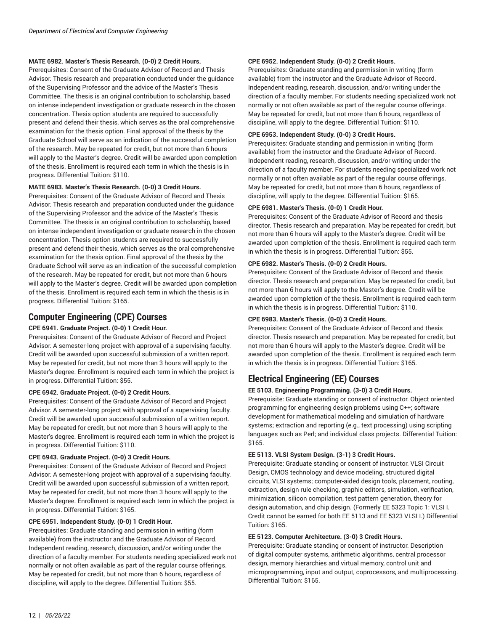### **MATE 6982. Master's Thesis Research. (0-0) 2 Credit Hours.**

Prerequisites: Consent of the Graduate Advisor of Record and Thesis Advisor. Thesis research and preparation conducted under the guidance of the Supervising Professor and the advice of the Master's Thesis Committee. The thesis is an original contribution to scholarship, based on intense independent investigation or graduate research in the chosen concentration. Thesis option students are required to successfully present and defend their thesis, which serves as the oral comprehensive examination for the thesis option. Final approval of the thesis by the Graduate School will serve as an indication of the successful completion of the research. May be repeated for credit, but not more than 6 hours will apply to the Master's degree. Credit will be awarded upon completion of the thesis. Enrollment is required each term in which the thesis is in progress. Differential Tuition: \$110.

### **MATE 6983. Master's Thesis Research. (0-0) 3 Credit Hours.**

Prerequisites: Consent of the Graduate Advisor of Record and Thesis Advisor. Thesis research and preparation conducted under the guidance of the Supervising Professor and the advice of the Master's Thesis Committee. The thesis is an original contribution to scholarship, based on intense independent investigation or graduate research in the chosen concentration. Thesis option students are required to successfully present and defend their thesis, which serves as the oral comprehensive examination for the thesis option. Final approval of the thesis by the Graduate School will serve as an indication of the successful completion of the research. May be repeated for credit, but not more than 6 hours will apply to the Master's degree. Credit will be awarded upon completion of the thesis. Enrollment is required each term in which the thesis is in progress. Differential Tuition: \$165.

### **Computer Engineering (CPE) Courses**

### **CPE 6941. Graduate Project. (0-0) 1 Credit Hour.**

Prerequisites: Consent of the Graduate Advisor of Record and Project Advisor. A semester-long project with approval of a supervising faculty. Credit will be awarded upon successful submission of a written report. May be repeated for credit, but not more than 3 hours will apply to the Master's degree. Enrollment is required each term in which the project is in progress. Differential Tuition: \$55.

### **CPE 6942. Graduate Project. (0-0) 2 Credit Hours.**

Prerequisites: Consent of the Graduate Advisor of Record and Project Advisor. A semester-long project with approval of a supervising faculty. Credit will be awarded upon successful submission of a written report. May be repeated for credit, but not more than 3 hours will apply to the Master's degree. Enrollment is required each term in which the project is in progress. Differential Tuition: \$110.

### **CPE 6943. Graduate Project. (0-0) 3 Credit Hours.**

Prerequisites: Consent of the Graduate Advisor of Record and Project Advisor. A semester-long project with approval of a supervising faculty. Credit will be awarded upon successful submission of a written report. May be repeated for credit, but not more than 3 hours will apply to the Master's degree. Enrollment is required each term in which the project is in progress. Differential Tuition: \$165.

### **CPE 6951. Independent Study. (0-0) 1 Credit Hour.**

Prerequisites: Graduate standing and permission in writing (form available) from the instructor and the Graduate Advisor of Record. Independent reading, research, discussion, and/or writing under the direction of a faculty member. For students needing specialized work not normally or not often available as part of the regular course offerings. May be repeated for credit, but not more than 6 hours, regardless of discipline, will apply to the degree. Differential Tuition: \$55.

### **CPE 6952. Independent Study. (0-0) 2 Credit Hours.**

Prerequisites: Graduate standing and permission in writing (form available) from the instructor and the Graduate Advisor of Record. Independent reading, research, discussion, and/or writing under the direction of a faculty member. For students needing specialized work not normally or not often available as part of the regular course offerings. May be repeated for credit, but not more than 6 hours, regardless of discipline, will apply to the degree. Differential Tuition: \$110.

### **CPE 6953. Independent Study. (0-0) 3 Credit Hours.**

Prerequisites: Graduate standing and permission in writing (form available) from the instructor and the Graduate Advisor of Record. Independent reading, research, discussion, and/or writing under the direction of a faculty member. For students needing specialized work not normally or not often available as part of the regular course offerings. May be repeated for credit, but not more than 6 hours, regardless of discipline, will apply to the degree. Differential Tuition: \$165.

### **CPE 6981. Master's Thesis. (0-0) 1 Credit Hour.**

Prerequisites: Consent of the Graduate Advisor of Record and thesis director. Thesis research and preparation. May be repeated for credit, but not more than 6 hours will apply to the Master's degree. Credit will be awarded upon completion of the thesis. Enrollment is required each term in which the thesis is in progress. Differential Tuition: \$55.

### **CPE 6982. Master's Thesis. (0-0) 2 Credit Hours.**

Prerequisites: Consent of the Graduate Advisor of Record and thesis director. Thesis research and preparation. May be repeated for credit, but not more than 6 hours will apply to the Master's degree. Credit will be awarded upon completion of the thesis. Enrollment is required each term in which the thesis is in progress. Differential Tuition: \$110.

### **CPE 6983. Master's Thesis. (0-0) 3 Credit Hours.**

Prerequisites: Consent of the Graduate Advisor of Record and thesis director. Thesis research and preparation. May be repeated for credit, but not more than 6 hours will apply to the Master's degree. Credit will be awarded upon completion of the thesis. Enrollment is required each term in which the thesis is in progress. Differential Tuition: \$165.

### **Electrical Engineering (EE) Courses**

### **EE 5103. Engineering Programming. (3-0) 3 Credit Hours.**

Prerequisite: Graduate standing or consent of instructor. Object oriented programming for engineering design problems using C++; software development for mathematical modeling and simulation of hardware systems; extraction and reporting (e.g., text processing) using scripting languages such as Perl; and individual class projects. Differential Tuition: \$165.

### **EE 5113. VLSI System Design. (3-1) 3 Credit Hours.**

Prerequisite: Graduate standing or consent of instructor. VLSI Circuit Design, CMOS technology and device modeling, structured digital circuits, VLSI systems; computer-aided design tools, placement, routing, extraction, design rule checking, graphic editors, simulation, verification, minimization, silicon compilation, test pattern generation, theory for design automation, and chip design. (Formerly EE 5323 Topic 1: VLSI I. Credit cannot be earned for both EE 5113 and EE 5323 VLSI I.) Differential Tuition: \$165.

### **EE 5123. Computer Architecture. (3-0) 3 Credit Hours.**

Prerequisite: Graduate standing or consent of instructor. Description of digital computer systems, arithmetic algorithms, central processor design, memory hierarchies and virtual memory, control unit and microprogramming, input and output, coprocessors, and multiprocessing. Differential Tuition: \$165.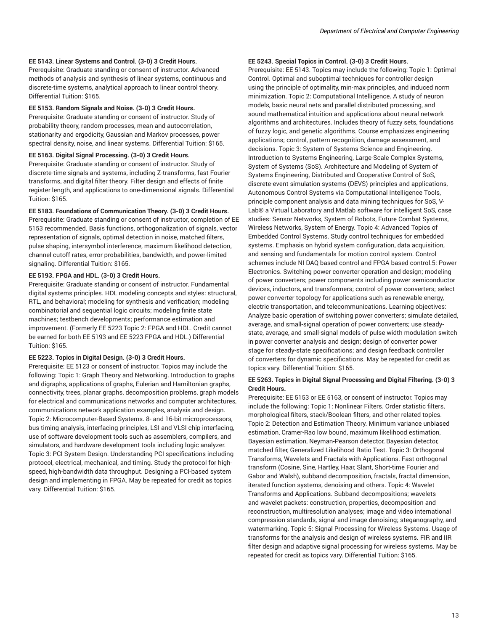### **EE 5143. Linear Systems and Control. (3-0) 3 Credit Hours.**

Prerequisite: Graduate standing or consent of instructor. Advanced methods of analysis and synthesis of linear systems, continuous and discrete-time systems, analytical approach to linear control theory. Differential Tuition: \$165.

#### **EE 5153. Random Signals and Noise. (3-0) 3 Credit Hours.**

Prerequisite: Graduate standing or consent of instructor. Study of probability theory, random processes, mean and autocorrelation, stationarity and ergodicity, Gaussian and Markov processes, power spectral density, noise, and linear systems. Differential Tuition: \$165.

#### **EE 5163. Digital Signal Processing. (3-0) 3 Credit Hours.**

Prerequisite: Graduate standing or consent of instructor. Study of discrete-time signals and systems, including Z-transforms, fast Fourier transforms, and digital filter theory. Filter design and effects of finite register length, and applications to one-dimensional signals. Differential Tuition: \$165.

### **EE 5183. Foundations of Communication Theory. (3-0) 3 Credit Hours.**

Prerequisite: Graduate standing or consent of instructor, completion of EE 5153 recommended. Basis functions, orthogonalization of signals, vector representation of signals, optimal detection in noise, matched filters, pulse shaping, intersymbol interference, maximum likelihood detection, channel cutoff rates, error probabilities, bandwidth, and power-limited signaling. Differential Tuition: \$165.

### **EE 5193. FPGA and HDL. (3-0) 3 Credit Hours.**

Prerequisite: Graduate standing or consent of instructor. Fundamental digital systems principles. HDL modeling concepts and styles: structural, RTL, and behavioral; modeling for synthesis and verification; modeling combinatorial and sequential logic circuits; modeling finite state machines; testbench developments; performance estimation and improvement. (Formerly EE 5223 Topic 2: FPGA and HDL. Credit cannot be earned for both EE 5193 and EE 5223 FPGA and HDL.) Differential Tuition: \$165.

#### **EE 5223. Topics in Digital Design. (3-0) 3 Credit Hours.**

Prerequisite: EE 5123 or consent of instructor. Topics may include the following: Topic 1: Graph Theory and Networking. Introduction to graphs and digraphs, applications of graphs, Eulerian and Hamiltonian graphs, connectivity, trees, planar graphs, decomposition problems, graph models for electrical and communications networks and computer architectures, communications network application examples, analysis and design. Topic 2: Microcomputer-Based Systems. 8- and 16-bit microprocessors, bus timing analysis, interfacing principles, LSI and VLSI chip interfacing, use of software development tools such as assemblers, compilers, and simulators, and hardware development tools including logic analyzer. Topic 3: PCI System Design. Understanding PCI specifications including protocol, electrical, mechanical, and timing. Study the protocol for highspeed, high-bandwidth data throughput. Designing a PCI-based system design and implementing in FPGA. May be repeated for credit as topics vary. Differential Tuition: \$165.

### **EE 5243. Special Topics in Control. (3-0) 3 Credit Hours.**

Prerequisite: EE 5143. Topics may include the following: Topic 1: Optimal Control. Optimal and suboptimal techniques for controller design using the principle of optimality, min-max principles, and induced norm minimization. Topic 2: Computational Intelligence. A study of neuron models, basic neural nets and parallel distributed processing, and sound mathematical intuition and applications about neural network algorithms and architectures. Includes theory of fuzzy sets, foundations of fuzzy logic, and genetic algorithms. Course emphasizes engineering applications; control, pattern recognition, damage assessment, and decisions. Topic 3: System of Systems Science and Engineering. Introduction to Systems Engineering, Large-Scale Complex Systems, System of Systems (SoS). Architecture and Modeling of System of Systems Engineering, Distributed and Cooperative Control of SoS, discrete-event simulation systems (DEVS) principles and applications, Autonomous Control Systems via Computational Intelligence Tools, principle component analysis and data mining techniques for SoS, V-Lab® a Virtual Laboratory and Matlab software for intelligent SoS, case studies: Sensor Networks, System of Robots, Future Combat Systems, Wireless Networks, System of Energy. Topic 4: Advanced Topics of Embedded Control Systems. Study control techniques for embedded systems. Emphasis on hybrid system configuration, data acquisition, and sensing and fundamentals for motion control system. Control schemes include NI DAQ based control and FPGA based control.5: Power Electronics. Switching power converter operation and design; modeling of power converters; power components including power semiconductor devices, inductors, and transformers; control of power converters; select power converter topology for applications such as renewable energy, electric transportation, and telecommunications. Learning objectives: Analyze basic operation of switching power converters; simulate detailed, average, and small-signal operation of power converters; use steadystate, average, and small-signal models of pulse width modulation switch in power converter analysis and design; design of converter power stage for steady-state specifications; and design feedback controller of converters for dynamic specifications. May be repeated for credit as topics vary. Differential Tuition: \$165.

### **EE 5263. Topics in Digital Signal Processing and Digital Filtering. (3-0) 3 Credit Hours.**

Prerequisite: EE 5153 or EE 5163, or consent of instructor. Topics may include the following: Topic 1: Nonlinear Filters. Order statistic filters, morphological filters, stack/Boolean filters, and other related topics. Topic 2: Detection and Estimation Theory. Minimum variance unbiased estimation, Cramer-Rao low bound, maximum likelihood estimation, Bayesian estimation, Neyman-Pearson detector, Bayesian detector, matched filter, Generalized Likelihood Ratio Test. Topic 3: Orthogonal Transforms, Wavelets and Fractals with Applications. Fast orthogonal transform (Cosine, Sine, Hartley, Haar, Slant, Short-time Fourier and Gabor and Walsh), subband decomposition, fractals, fractal dimension, iterated function systems, denoising and others. Topic 4: Wavelet Transforms and Applications. Subband decompositions; wavelets and wavelet packets: construction, properties, decomposition and reconstruction, multiresolution analyses; image and video international compression standards, signal and image denoising; steganography, and watermarking. Topic 5: Signal Processing for Wireless Systems. Usage of transforms for the analysis and design of wireless systems. FIR and IIR filter design and adaptive signal processing for wireless systems. May be repeated for credit as topics vary. Differential Tuition: \$165.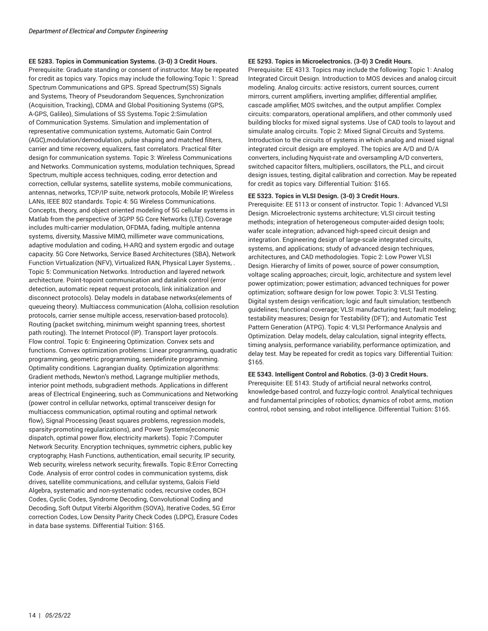### **EE 5283. Topics in Communication Systems. (3-0) 3 Credit Hours.**

Prerequisite: Graduate standing or consent of instructor. May be repeated for credit as topics vary. Topics may include the following:Topic 1: Spread Spectrum Communications and GPS. Spread Spectrum(SS) Signals and Systems, Theory of Pseudorandom Sequences, Synchronization (Acquisition, Tracking), CDMA and Global Positioning Systems (GPS, A-GPS, Galileo), Simulations of SS Systems.Topic 2:Simulation of Communication Systems. Simulation and implementation of representative communication systems, Automatic Gain Control (AGC),modulation/demodulation, pulse shaping and matched filters, carrier and time recovery, equalizers, fast correlators. Practical filter design for communication systems. Topic 3: Wireless Communications and Networks. Communication systems, modulation techniques, Spread Spectrum, multiple access techniques, coding, error detection and correction, cellular systems, satellite systems, mobile communications, antennas, networks, TCP/IP suite, network protocols, Mobile IP, Wireless LANs, IEEE 802 standards. Topic 4: 5G Wireless Communications. Concepts, theory, and object oriented modeling of 5G cellular systems in Matlab from the perspective of 3GPP 5G Core Networks (LTE).Coverage includes multi-carrier modulation, OFDMA, fading, multiple antenna systems, diversity, Massive MIMO, millimeter wave communications, adaptive modulation and coding, H-ARQ and system ergodic and outage capacity. 5G Core Networks, Service Based Architectures (SBA), Network Function Virtualization (NFV), Virtualized RAN, Physical Layer Systems, . Topic 5: Communication Networks. Introduction and layered network architecture. Point-topoint communication and datalink control (error detection, automatic repeat request protocols, link initialization and disconnect protocols). Delay models in database networks(elements of queueing theory). Multiaccess communication (Aloha, collision resolution protocols, carrier sense multiple access, reservation-based protocols). Routing (packet switching, minimum weight spanning trees, shortest path routing). The Internet Protocol (IP). Transport layer protocols. Flow control. Topic 6: Engineering Optimization. Convex sets and functions. Convex optimization problems: Linear programming, quadratic programming, geometric programming, semidefinite programming. Optimality conditions. Lagrangian duality. Optimization algorithms: Gradient methods, Newton's method, Lagrange multiplier methods, interior point methods, subgradient methods. Applications in different areas of Electrical Engineering, such as Communications and Networking (power control in cellular networks, optimal transceiver design for multiaccess communication, optimal routing and optimal network flow), Signal Processing (least squares problems, regression models, sparsity-promoting regularizations), and Power Systems(economic dispatch, optimal power flow, electricity markets). Topic 7:Computer Network Security. Encryption techniques, symmetric ciphers, public key cryptography, Hash Functions, authentication, email security, IP security, Web security, wireless network security, firewalls. Topic 8:Error Correcting Code. Analysis of error control codes in communication systems, disk drives, satellite communications, and cellular systems, Galois Field Algebra, systematic and non-systematic codes, recursive codes, BCH Codes, Cyclic Codes, Syndrome Decoding, Convolutional Coding and Decoding, Soft Output Viterbi Algorithm (SOVA), Iterative Codes, 5G Error correction Codes, Low Density Parity Check Codes (LDPC), Erasure Codes in data base systems. Differential Tuition: \$165.

#### **EE 5293. Topics in Microelectronics. (3-0) 3 Credit Hours.**

Prerequisite: EE 4313. Topics may include the following: Topic 1: Analog Integrated Circuit Design. Introduction to MOS devices and analog circuit modeling. Analog circuits: active resistors, current sources, current mirrors, current amplifiers, inverting amplifier, differential amplifier, cascade amplifier, MOS switches, and the output amplifier. Complex circuits: comparators, operational amplifiers, and other commonly used building blocks for mixed signal systems. Use of CAD tools to layout and simulate analog circuits. Topic 2: Mixed Signal Circuits and Systems. Introduction to the circuits of systems in which analog and mixed signal integrated circuit design are employed. The topics are A/D and D/A converters, including Nyquist-rate and oversampling A/D converters, switched capacitor filters, multipliers, oscillators, the PLL, and circuit design issues, testing, digital calibration and correction. May be repeated for credit as topics vary. Differential Tuition: \$165.

### **EE 5323. Topics in VLSI Design. (3-0) 3 Credit Hours.**

Prerequisite: EE 5113 or consent of instructor. Topic 1: Advanced VLSI Design. Microelectronic systems architecture; VLSI circuit testing methods; integration of heterogeneous computer-aided design tools; wafer scale integration; advanced high-speed circuit design and integration. Engineering design of large-scale integrated circuits, systems, and applications; study of advanced design techniques, architectures, and CAD methodologies. Topic 2: Low Power VLSI Design. Hierarchy of limits of power, source of power consumption, voltage scaling approaches; circuit, logic, architecture and system level power optimization; power estimation; advanced techniques for power optimization; software design for low power. Topic 3: VLSI Testing. Digital system design verification; logic and fault simulation; testbench guidelines; functional coverage; VLSI manufacturing test; fault modeling; testability measures; Design for Testability (DFT); and Automatic Test Pattern Generation (ATPG). Topic 4: VLSI Performance Analysis and Optimization. Delay models, delay calculation, signal integrity effects, timing analysis, performance variability, performance optimization, and delay test. May be repeated for credit as topics vary. Differential Tuition: \$165.

#### **EE 5343. Intelligent Control and Robotics. (3-0) 3 Credit Hours.**

Prerequisite: EE 5143. Study of artificial neural networks control, knowledge-based control, and fuzzy-logic control. Analytical techniques and fundamental principles of robotics; dynamics of robot arms, motion control, robot sensing, and robot intelligence. Differential Tuition: \$165.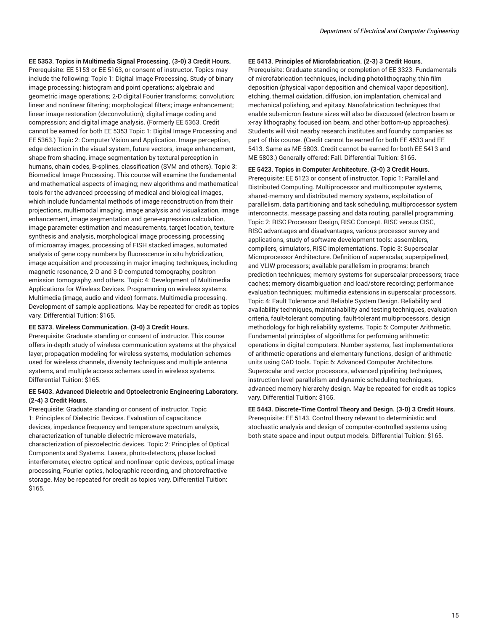**EE 5353. Topics in Multimedia Signal Processing. (3-0) 3 Credit Hours.**

Prerequisite: EE 5153 or EE 5163, or consent of instructor. Topics may include the following: Topic 1: Digital Image Processing. Study of binary image processing; histogram and point operations; algebraic and geometric image operations; 2-D digital Fourier transforms; convolution; linear and nonlinear filtering; morphological filters; image enhancement; linear image restoration (deconvolution); digital image coding and compression; and digital image analysis. (Formerly EE 5363. Credit cannot be earned for both EE 5353 Topic 1: Digital Image Processing and EE 5363.) Topic 2: Computer Vision and Application. Image perception, edge detection in the visual system, future vectors, image enhancement, shape from shading, image segmentation by textural perception in humans, chain codes, B-splines, classification (SVM and others). Topic 3: Biomedical Image Processing. This course will examine the fundamental and mathematical aspects of imaging; new algorithms and mathematical tools for the advanced processing of medical and biological images, which include fundamental methods of image reconstruction from their projections, multi-modal imaging, image analysis and visualization, image enhancement, image segmentation and gene-expression calculation, image parameter estimation and measurements, target location, texture synthesis and analysis, morphological image processing, processing of microarray images, processing of FISH stacked images, automated analysis of gene copy numbers by fluorescence in situ hybridization, image acquisition and processing in major imaging techniques, including magnetic resonance, 2-D and 3-D computed tomography, positron emission tomography, and others. Topic 4: Development of Multimedia Applications for Wireless Devices. Programming on wireless systems. Multimedia (image, audio and video) formats. Multimedia processing. Development of sample applications. May be repeated for credit as topics vary. Differential Tuition: \$165.

### **EE 5373. Wireless Communication. (3-0) 3 Credit Hours.**

Prerequisite: Graduate standing or consent of instructor. This course offers in-depth study of wireless communication systems at the physical layer, propagation modeling for wireless systems, modulation schemes used for wireless channels, diversity techniques and multiple antenna systems, and multiple access schemes used in wireless systems. Differential Tuition: \$165.

### **EE 5403. Advanced Dielectric and Optoelectronic Engineering Laboratory. (2-4) 3 Credit Hours.**

Prerequisite: Graduate standing or consent of instructor. Topic 1: Principles of Dielectric Devices. Evaluation of capacitance devices, impedance frequency and temperature spectrum analysis, characterization of tunable dielectric microwave materials, characterization of piezoelectric devices. Topic 2: Principles of Optical Components and Systems. Lasers, photo-detectors, phase locked interferometer, electro-optical and nonlinear optic devices, optical image processing, Fourier optics, holographic recording, and photorefractive storage. May be repeated for credit as topics vary. Differential Tuition: \$165.

#### **EE 5413. Principles of Microfabrication. (2-3) 3 Credit Hours.**

Prerequisite: Graduate standing or completion of EE 3323. Fundamentals of microfabrication techniques, including photolithography, thin film deposition (physical vapor deposition and chemical vapor deposition), etching, thermal oxidation, diffusion, ion implantation, chemical and mechanical polishing, and epitaxy. Nanofabrication techniques that enable sub-micron feature sizes will also be discussed (electron beam or x-ray lithography, focused ion beam, and other bottom-up approaches). Students will visit nearby research institutes and foundry companies as part of this course. (Credit cannot be earned for both EE 4533 and EE 5413. Same as ME 5803. Credit cannot be earned for both EE 5413 and ME 5803.) Generally offered: Fall. Differential Tuition: \$165.

**EE 5423. Topics in Computer Architecture. (3-0) 3 Credit Hours.**

Prerequisite: EE 5123 or consent of instructor. Topic 1: Parallel and Distributed Computing. Multiprocessor and multicomputer systems, shared-memory and distributed memory systems, exploitation of parallelism, data partitioning and task scheduling, multiprocessor system interconnects, message passing and data routing, parallel programming. Topic 2: RISC Processor Design, RISC Concept. RISC versus CISC, RISC advantages and disadvantages, various processor survey and applications, study of software development tools: assemblers, compilers, simulators, RISC implementations. Topic 3: Superscalar Microprocessor Architecture. Definition of superscalar, superpipelined, and VLIW processors; available parallelism in programs; branch prediction techniques; memory systems for superscalar processors; trace caches; memory disambiguation and load/store recording; performance evaluation techniques; multimedia extensions in superscalar processors. Topic 4: Fault Tolerance and Reliable System Design. Reliability and availability techniques, maintainability and testing techniques, evaluation criteria, fault-tolerant computing, fault-tolerant multiprocessors, design methodology for high reliability systems. Topic 5: Computer Arithmetic. Fundamental principles of algorithms for performing arithmetic operations in digital computers. Number systems, fast implementations of arithmetic operations and elementary functions, design of arithmetic units using CAD tools. Topic 6: Advanced Computer Architecture. Superscalar and vector processors, advanced pipelining techniques, instruction-level parallelism and dynamic scheduling techniques, advanced memory hierarchy design. May be repeated for credit as topics vary. Differential Tuition: \$165.

**EE 5443. Discrete-Time Control Theory and Design. (3-0) 3 Credit Hours.** Prerequisite: EE 5143. Control theory relevant to deterministic and stochastic analysis and design of computer-controlled systems using both state-space and input-output models. Differential Tuition: \$165.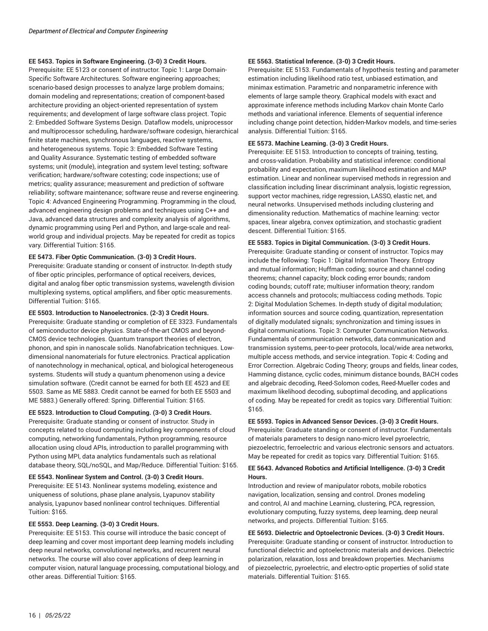### **EE 5453. Topics in Software Engineering. (3-0) 3 Credit Hours.**

Prerequisite: EE 5123 or consent of instructor. Topic 1: Large Domain-Specific Software Architectures. Software engineering approaches; scenario-based design processes to analyze large problem domains; domain modeling and representations; creation of component-based architecture providing an object-oriented representation of system requirements; and development of large software class project. Topic 2: Embedded Software Systems Design. Dataflow models, uniprocessor and multiprocessor scheduling, hardware/software codesign, hierarchical finite state machines, synchronous languages, reactive systems, and heterogeneous systems. Topic 3: Embedded Software Testing and Quality Assurance. Systematic testing of embedded software systems; unit (module), integration and system level testing; software verification; hardware/software cotesting; code inspections; use of metrics; quality assurance; measurement and prediction of software reliability; software maintenance; software reuse and reverse engineering. Topic 4: Advanced Engineering Programming. Programming in the cloud, advanced engineering design problems and techniques using C++ and Java, advanced data structures and complexity analysis of algorithms, dynamic programming using Perl and Python, and large-scale and realworld group and individual projects. May be repeated for credit as topics vary. Differential Tuition: \$165.

### **EE 5473. Fiber Optic Communication. (3-0) 3 Credit Hours.**

Prerequisite: Graduate standing or consent of instructor. In-depth study of fiber optic principles, performance of optical receivers, devices, digital and analog fiber optic transmission systems, wavelength division multiplexing systems, optical amplifiers, and fiber optic measurements. Differential Tuition: \$165.

### **EE 5503. Introduction to Nanoelectronics. (2-3) 3 Credit Hours.**

Prerequisite: Graduate standing or completion of EE 3323. Fundamentals of semiconductor device physics. State-of-the-art CMOS and beyond-CMOS device technologies. Quantum transport theories of electron, phonon, and spin in nanoscale solids. Nanofabrication techniques. Lowdimensional nanomaterials for future electronics. Practical application of nanotechnology in mechanical, optical, and biological heterogeneous systems. Students will study a quantum phenomenon using a device simulation software. (Credit cannot be earned for both EE 4523 and EE 5503. Same as ME 5883. Credit cannot be earned for both EE 5503 and ME 5883.) Generally offered: Spring. Differential Tuition: \$165.

### **EE 5523. Introduction to Cloud Computing. (3-0) 3 Credit Hours.**

Prerequisite: Graduate standing or consent of instructor. Study in concepts related to cloud computing including key components of cloud computing, networking fundamentals, Python programming, resource allocation using cloud APIs, introduction to parallel programming with Python using MPI, data analytics fundamentals such as relational database theory, SQL/noSQL, and Map/Reduce. Differential Tuition: \$165.

### **EE 5543. Nonlinear System and Control. (3-0) 3 Credit Hours.**

Prerequisite: EE 5143. Nonlinear systems modeling, existence and uniqueness of solutions, phase plane analysis, Lyapunov stability analysis, Lyapunov based nonlinear control techniques. Differential Tuition: \$165.

### **EE 5553. Deep Learning. (3-0) 3 Credit Hours.**

Prerequisite: EE 5153. This course will introduce the basic concept of deep learning and cover most important deep learning models including deep neural networks, convolutional networks, and recurrent neural networks. The course will also cover applications of deep learning in computer vision, natural language processing, computational biology, and other areas. Differential Tuition: \$165.

### **EE 5563. Statistical Inference. (3-0) 3 Credit Hours.**

Prerequisite: EE 5153. Fundamentals of hypothesis testing and parameter estimation including likelihood ratio test, unbiased estimation, and minimax estimation. Parametric and nonparametric inference with elements of large sample theory. Graphical models with exact and approximate inference methods including Markov chain Monte Carlo methods and variational inference. Elements of sequential inference including change point detection, hidden-Markov models, and time-series analysis. Differential Tuition: \$165.

### **EE 5573. Machine Learning. (3-0) 3 Credit Hours.**

Prerequisite: EE 5153. Introduction to concepts of training, testing, and cross-validation. Probability and statistical inference: conditional probability and expectation, maximum likelihood estimation and MAP estimation. Linear and nonlinear supervised methods in regression and classification including linear discriminant analysis, logistic regression, support vector machines, ridge regression, LASSO, elastic net, and neural networks. Unsupervised methods including clustering and dimensionality reduction. Mathematics of machine learning: vector spaces, linear algebra, convex optimization, and stochastic gradient descent. Differential Tuition: \$165.

### **EE 5583. Topics in Digital Communication. (3-0) 3 Credit Hours.**

Prerequisite: Graduate standing or consent of instructor. Topics may include the following: Topic 1: Digital Information Theory. Entropy and mutual information; Huffman coding; source and channel coding theorems; channel capacity; block coding error bounds; random coding bounds; cutoff rate; multiuser information theory; random access channels and protocols; multiaccess coding methods. Topic 2: Digital Modulation Schemes. In-depth study of digital modulation; information sources and source coding, quantization, representation of digitally modulated signals; synchronization and timing issues in digital communications. Topic 3: Computer Communication Networks. Fundamentals of communication networks, data communication and transmission systems, peer-to-peer protocols, local/wide area networks, multiple access methods, and service integration. Topic 4: Coding and Error Correction. Algebraic Coding Theory; groups and fields, linear codes, Hamming distance, cyclic codes, minimum distance bounds, BACH codes and algebraic decoding, Reed-Solomon codes, Reed-Mueller codes and maximum likelihood decoding, suboptimal decoding, and applications of coding. May be repeated for credit as topics vary. Differential Tuition: \$165.

### **EE 5593. Topics in Advanced Sensor Devices. (3-0) 3 Credit Hours.**

Prerequisite: Graduate standing or consent of instructor. Fundamentals of materials parameters to design nano-micro level pyroelectric, piezoelectric, ferroelectric and various electronic sensors and actuators. May be repeated for credit as topics vary. Differential Tuition: \$165.

### **EE 5643. Advanced Robotics and Artificial Intelligence. (3-0) 3 Credit Hours.**

Introduction and review of manipulator robots, mobile robotics navigation, localization, sensing and control. Drones modeling and control, AI and machine Learning, clustering, PCA, regression, evolutionary computing, fuzzy systems, deep learning, deep neural networks, and projects. Differential Tuition: \$165.

### **EE 5693. Dielectric and Optoelectronic Devices. (3-0) 3 Credit Hours.** Prerequisite: Graduate standing or consent of instructor. Introduction to functional dielectric and optoelectronic materials and devices. Dielectric polarization, relaxation, loss and breakdown properties. Mechanisms of piezoelectric, pyroelectric, and electro-optic properties of solid state

materials. Differential Tuition: \$165.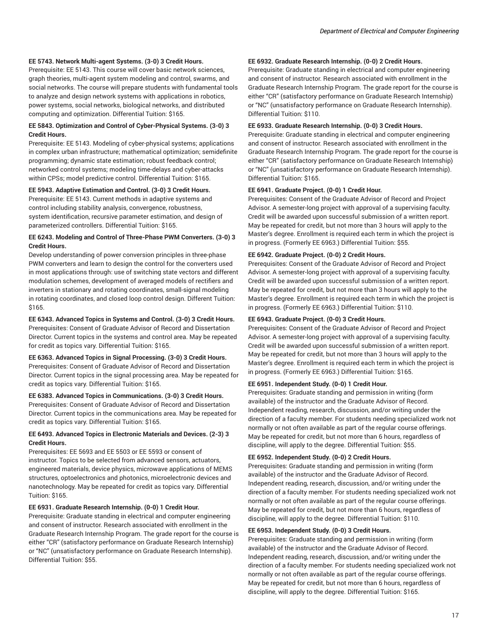### **EE 5743. Network Multi-agent Systems. (3-0) 3 Credit Hours.**

Prerequisite: EE 5143. This course will cover basic network sciences, graph theories, multi-agent system modeling and control, swarms, and social networks. The course will prepare students with fundamental tools to analyze and design network systems with applications in robotics, power systems, social networks, biological networks, and distributed computing and optimization. Differential Tuition: \$165.

### **EE 5843. Optimization and Control of Cyber-Physical Systems. (3-0) 3 Credit Hours.**

Prerequisite: EE 5143. Modeling of cyber-physical systems; applications in complex urban infrastructure; mathematical optimization; semidefinite programming; dynamic state estimation; robust feedback control; networked control systems; modeling time-delays and cyber-attacks within CPSs; model predictive control. Differential Tuition: \$165.

#### **EE 5943. Adaptive Estimation and Control. (3-0) 3 Credit Hours.**

Prerequisite: EE 5143. Current methods in adaptive systems and control including stability analysis, convergence, robustness, system identification, recursive parameter estimation, and design of parameterized controllers. Differential Tuition: \$165.

### **EE 6243. Modeling and Control of Three-Phase PWM Converters. (3-0) 3 Credit Hours.**

Develop understanding of power conversion principles in three-phase PWM converters and learn to design the control for the converters used in most applications through: use of switching state vectors and different modulation schemes, development of averaged models of rectifiers and inverters in stationary and rotating coordinates, small-signal modeling in rotating coordinates, and closed loop control design. Different Tuition: \$165.

### **EE 6343. Advanced Topics in Systems and Control. (3-0) 3 Credit Hours.**

Prerequisites: Consent of Graduate Advisor of Record and Dissertation Director. Current topics in the systems and control area. May be repeated for credit as topics vary. Differential Tuition: \$165.

**EE 6363. Advanced Topics in Signal Processing. (3-0) 3 Credit Hours.** Prerequisites: Consent of Graduate Advisor of Record and Dissertation Director. Current topics in the signal processing area. May be repeated for credit as topics vary. Differential Tuition: \$165.

### **EE 6383. Advanced Topics in Communications. (3-0) 3 Credit Hours.**

Prerequisites: Consent of Graduate Advisor of Record and Dissertation Director. Current topics in the communications area. May be repeated for credit as topics vary. Differential Tuition: \$165.

### **EE 6493. Advanced Topics in Electronic Materials and Devices. (2-3) 3 Credit Hours.**

Prerequisites: EE 5693 and EE 5503 or EE 5593 or consent of instructor. Topics to be selected from advanced sensors, actuators, engineered materials, device physics, microwave applications of MEMS structures, optoelectronics and photonics, microelectronic devices and nanotechnology. May be repeated for credit as topics vary. Differential Tuition: \$165.

### **EE 6931. Graduate Research Internship. (0-0) 1 Credit Hour.**

Prerequisite: Graduate standing in electrical and computer engineering and consent of instructor. Research associated with enrollment in the Graduate Research Internship Program. The grade report for the course is either "CR" (satisfactory performance on Graduate Research Internship) or "NC" (unsatisfactory performance on Graduate Research Internship). Differential Tuition: \$55.

### **EE 6932. Graduate Research Internship. (0-0) 2 Credit Hours.**

Prerequisite: Graduate standing in electrical and computer engineering and consent of instructor. Research associated with enrollment in the Graduate Research Internship Program. The grade report for the course is either "CR" (satisfactory performance on Graduate Research Internship) or "NC" (unsatisfactory performance on Graduate Research Internship). Differential Tuition: \$110.

### **EE 6933. Graduate Research Internship. (0-0) 3 Credit Hours.**

Prerequisite: Graduate standing in electrical and computer engineering and consent of instructor. Research associated with enrollment in the Graduate Research Internship Program. The grade report for the course is either "CR" (satisfactory performance on Graduate Research Internship) or "NC" (unsatisfactory performance on Graduate Research Internship). Differential Tuition: \$165.

#### **EE 6941. Graduate Project. (0-0) 1 Credit Hour.**

Prerequisites: Consent of the Graduate Advisor of Record and Project Advisor. A semester-long project with approval of a supervising faculty. Credit will be awarded upon successful submission of a written report. May be repeated for credit, but not more than 3 hours will apply to the Master's degree. Enrollment is required each term in which the project is in progress. (Formerly EE 6963.) Differential Tuition: \$55.

### **EE 6942. Graduate Project. (0-0) 2 Credit Hours.**

Prerequisites: Consent of the Graduate Advisor of Record and Project Advisor. A semester-long project with approval of a supervising faculty. Credit will be awarded upon successful submission of a written report. May be repeated for credit, but not more than 3 hours will apply to the Master's degree. Enrollment is required each term in which the project is in progress. (Formerly EE 6963.) Differential Tuition: \$110.

#### **EE 6943. Graduate Project. (0-0) 3 Credit Hours.**

Prerequisites: Consent of the Graduate Advisor of Record and Project Advisor. A semester-long project with approval of a supervising faculty. Credit will be awarded upon successful submission of a written report. May be repeated for credit, but not more than 3 hours will apply to the Master's degree. Enrollment is required each term in which the project is in progress. (Formerly EE 6963.) Differential Tuition: \$165.

#### **EE 6951. Independent Study. (0-0) 1 Credit Hour.**

Prerequisites: Graduate standing and permission in writing (form available) of the instructor and the Graduate Advisor of Record. Independent reading, research, discussion, and/or writing under the direction of a faculty member. For students needing specialized work not normally or not often available as part of the regular course offerings. May be repeated for credit, but not more than 6 hours, regardless of discipline, will apply to the degree. Differential Tuition: \$55.

### **EE 6952. Independent Study. (0-0) 2 Credit Hours.**

Prerequisites: Graduate standing and permission in writing (form available) of the instructor and the Graduate Advisor of Record. Independent reading, research, discussion, and/or writing under the direction of a faculty member. For students needing specialized work not normally or not often available as part of the regular course offerings. May be repeated for credit, but not more than 6 hours, regardless of discipline, will apply to the degree. Differential Tuition: \$110.

### **EE 6953. Independent Study. (0-0) 3 Credit Hours.**

Prerequisites: Graduate standing and permission in writing (form available) of the instructor and the Graduate Advisor of Record. Independent reading, research, discussion, and/or writing under the direction of a faculty member. For students needing specialized work not normally or not often available as part of the regular course offerings. May be repeated for credit, but not more than 6 hours, regardless of discipline, will apply to the degree. Differential Tuition: \$165.